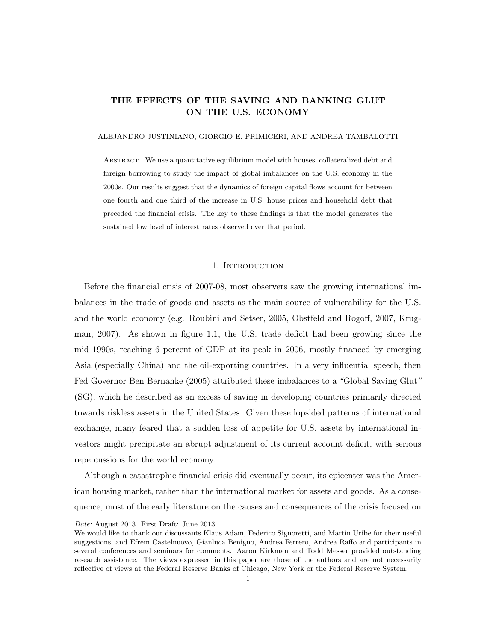# THE EFFECTS OF THE SAVING AND BANKING GLUT ON THE U.S. ECONOMY

#### ALEJANDRO JUSTINIANO, GIORGIO E. PRIMICERI, AND ANDREA TAMBALOTTI

Abstract. We use a quantitative equilibrium model with houses, collateralized debt and foreign borrowing to study the impact of global imbalances on the U.S. economy in the 2000s. Our results suggest that the dynamics of foreign capital flows account for between one fourth and one third of the increase in U.S. house prices and household debt that preceded the financial crisis. The key to these findings is that the model generates the sustained low level of interest rates observed over that period.

### 1. Introduction

Before the financial crisis of 2007-08, most observers saw the growing international imbalances in the trade of goods and assets as the main source of vulnerability for the U.S. and the world economy (e.g. Roubini and Setser, 2005, Obstfeld and Rogoff, 2007, Krugman, 2007). As shown in figure 1.1, the U.S. trade deficit had been growing since the mid 1990s, reaching 6 percent of GDP at its peak in 2006, mostly financed by emerging Asia (especially China) and the oil-exporting countries. In a very influential speech, then Fed Governor Ben Bernanke (2005) attributed these imbalances to a *"*Global Saving Glut*"* (SG), which he described as an excess of saving in developing countries primarily directed towards riskless assets in the United States. Given these lopsided patterns of international exchange, many feared that a sudden loss of appetite for U.S. assets by international investors might precipitate an abrupt adjustment of its current account deficit, with serious repercussions for the world economy.

Although a catastrophic financial crisis did eventually occur, its epicenter was the American housing market, rather than the international market for assets and goods. As a consequence, most of the early literature on the causes and consequences of the crisis focused on

Date: August 2013. First Draft: June 2013.

We would like to thank our discussants Klaus Adam, Federico Signoretti, and Martin Uribe for their useful suggestions, and Efrem Castelnuovo, Gianluca Benigno, Andrea Ferrero, Andrea Raffo and participants in several conferences and seminars for comments. Aaron Kirkman and Todd Messer provided outstanding research assistance. The views expressed in this paper are those of the authors and are not necessarily reflective of views at the Federal Reserve Banks of Chicago, New York or the Federal Reserve System.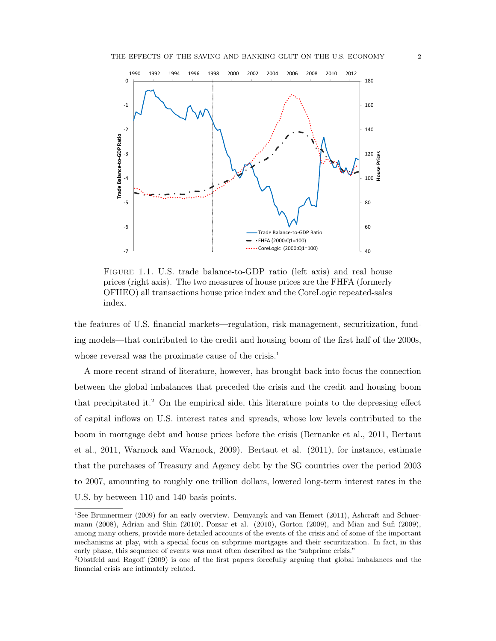

Figure 1.1. U.S. trade balance-to-GDP ratio (left axis) and real house prices (right axis). The two measures of house prices are the FHFA (formerly OFHEO) all transactions house price index and the CoreLogic repeated-sales index.

the features of U.S. financial markets—regulation, risk-management, securitization, funding models—that contributed to the credit and housing boom of the first half of the 2000s, whose reversal was the proximate cause of the crisis.<sup>1</sup>

A more recent strand of literature, however, has brought back into focus the connection between the global imbalances that preceded the crisis and the credit and housing boom that precipitated it.<sup>2</sup> On the empirical side, this literature points to the depressing effect of capital inflows on U.S. interest rates and spreads, whose low levels contributed to the boom in mortgage debt and house prices before the crisis (Bernanke et al., 2011, Bertaut et al., 2011, Warnock and Warnock, 2009). Bertaut et al. (2011), for instance, estimate that the purchases of Treasury and Agency debt by the SG countries over the period 2003 to 2007, amounting to roughly one trillion dollars, lowered long-term interest rates in the U.S. by between 110 and 140 basis points.

<sup>1</sup>See Brunnermeir (2009) for an early overview. Demyanyk and van Hemert (2011), Ashcraft and Schuermann (2008), Adrian and Shin (2010), Pozsar et al. (2010), Gorton (2009), and Mian and Sufi (2009), among many others, provide more detailed accounts of the events of the crisis and of some of the important mechanisms at play, with a special focus on subprime mortgages and their securitization. In fact, in this early phase, this sequence of events was most often described as the "subprime crisis."

<sup>2</sup>Obstfeld and Rogoff (2009) is one of the first papers forcefully arguing that global imbalances and the financial crisis are intimately related.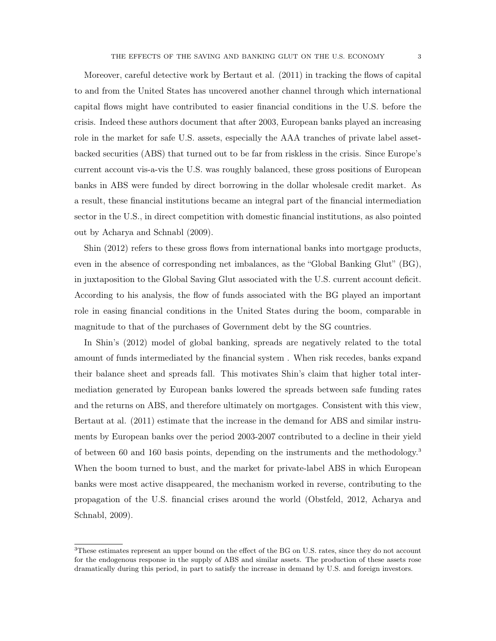Moreover, careful detective work by Bertaut et al. (2011) in tracking the flows of capital to and from the United States has uncovered another channel through which international capital flows might have contributed to easier financial conditions in the U.S. before the crisis. Indeed these authors document that after 2003, European banks played an increasing role in the market for safe U.S. assets, especially the AAA tranches of private label assetbacked securities (ABS) that turned out to be far from riskless in the crisis. Since Europe's current account vis-a-vis the U.S. was roughly balanced, these gross positions of European banks in ABS were funded by direct borrowing in the dollar wholesale credit market. As a result, these financial institutions became an integral part of the financial intermediation sector in the U.S., in direct competition with domestic financial institutions, as also pointed out by Acharya and Schnabl (2009).

Shin (2012) refers to these gross flows from international banks into mortgage products, even in the absence of corresponding net imbalances, as the "Global Banking Glut" (BG), in juxtaposition to the Global Saving Glut associated with the U.S. current account deficit. According to his analysis, the flow of funds associated with the BG played an important role in easing financial conditions in the United States during the boom, comparable in magnitude to that of the purchases of Government debt by the SG countries.

In Shin's (2012) model of global banking, spreads are negatively related to the total amount of funds intermediated by the financial system . When risk recedes, banks expand their balance sheet and spreads fall. This motivates Shin's claim that higher total intermediation generated by European banks lowered the spreads between safe funding rates and the returns on ABS, and therefore ultimately on mortgages. Consistent with this view, Bertaut at al. (2011) estimate that the increase in the demand for ABS and similar instruments by European banks over the period 2003-2007 contributed to a decline in their yield of between 60 and 160 basis points, depending on the instruments and the methodology.<sup>3</sup> When the boom turned to bust, and the market for private-label ABS in which European banks were most active disappeared, the mechanism worked in reverse, contributing to the propagation of the U.S. financial crises around the world (Obstfeld, 2012, Acharya and Schnabl, 2009).

<sup>&</sup>lt;sup>3</sup>These estimates represent an upper bound on the effect of the BG on U.S. rates, since they do not account for the endogenous response in the supply of ABS and similar assets. The production of these assets rose dramatically during this period, in part to satisfy the increase in demand by U.S. and foreign investors.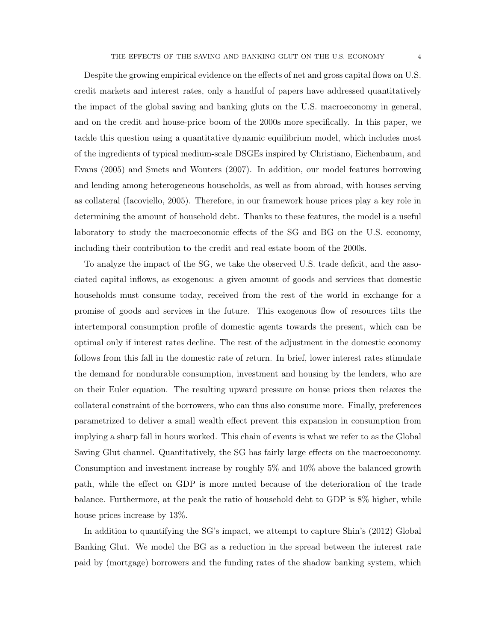Despite the growing empirical evidence on the effects of net and gross capital flows on U.S. credit markets and interest rates, only a handful of papers have addressed quantitatively the impact of the global saving and banking gluts on the U.S. macroeconomy in general, and on the credit and house-price boom of the 2000s more specifically. In this paper, we tackle this question using a quantitative dynamic equilibrium model, which includes most of the ingredients of typical medium-scale DSGEs inspired by Christiano, Eichenbaum, and Evans (2005) and Smets and Wouters (2007). In addition, our model features borrowing and lending among heterogeneous households, as well as from abroad, with houses serving as collateral (Iacoviello, 2005). Therefore, in our framework house prices play a key role in determining the amount of household debt. Thanks to these features, the model is a useful laboratory to study the macroeconomic effects of the SG and BG on the U.S. economy, including their contribution to the credit and real estate boom of the 2000s.

To analyze the impact of the SG, we take the observed U.S. trade deficit, and the associated capital inflows, as exogenous: a given amount of goods and services that domestic households must consume today, received from the rest of the world in exchange for a promise of goods and services in the future. This exogenous flow of resources tilts the intertemporal consumption profile of domestic agents towards the present, which can be optimal only if interest rates decline. The rest of the adjustment in the domestic economy follows from this fall in the domestic rate of return. In brief, lower interest rates stimulate the demand for nondurable consumption, investment and housing by the lenders, who are on their Euler equation. The resulting upward pressure on house prices then relaxes the collateral constraint of the borrowers, who can thus also consume more. Finally, preferences parametrized to deliver a small wealth effect prevent this expansion in consumption from implying a sharp fall in hours worked. This chain of events is what we refer to as the Global Saving Glut channel. Quantitatively, the SG has fairly large effects on the macroeconomy. Consumption and investment increase by roughly 5% and 10% above the balanced growth path, while the effect on GDP is more muted because of the deterioration of the trade balance. Furthermore, at the peak the ratio of household debt to GDP is 8% higher, while house prices increase by 13%.

In addition to quantifying the SG's impact, we attempt to capture Shin's (2012) Global Banking Glut. We model the BG as a reduction in the spread between the interest rate paid by (mortgage) borrowers and the funding rates of the shadow banking system, which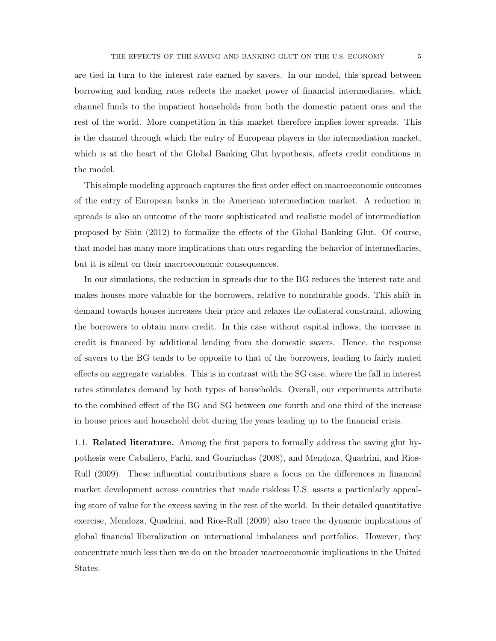are tied in turn to the interest rate earned by savers. In our model, this spread between borrowing and lending rates reflects the market power of financial intermediaries, which channel funds to the impatient households from both the domestic patient ones and the rest of the world. More competition in this market therefore implies lower spreads. This is the channel through which the entry of European players in the intermediation market, which is at the heart of the Global Banking Glut hypothesis, affects credit conditions in the model.

This simple modeling approach captures the first order effect on macroeconomic outcomes of the entry of European banks in the American intermediation market. A reduction in spreads is also an outcome of the more sophisticated and realistic model of intermediation proposed by Shin (2012) to formalize the effects of the Global Banking Glut. Of course, that model has many more implications than ours regarding the behavior of intermediaries, but it is silent on their macroeconomic consequences.

In our simulations, the reduction in spreads due to the BG reduces the interest rate and makes houses more valuable for the borrowers, relative to nondurable goods. This shift in demand towards houses increases their price and relaxes the collateral constraint, allowing the borrowers to obtain more credit. In this case without capital inflows, the increase in credit is financed by additional lending from the domestic savers. Hence, the response of savers to the BG tends to be opposite to that of the borrowers, leading to fairly muted effects on aggregate variables. This is in contrast with the SG case, where the fall in interest rates stimulates demand by both types of households. Overall, our experiments attribute to the combined effect of the BG and SG between one fourth and one third of the increase in house prices and household debt during the years leading up to the financial crisis.

1.1. Related literature. Among the first papers to formally address the saving glut hypothesis were Caballero, Farhi, and Gourinchas (2008), and Mendoza, Quadrini, and Rios-Rull (2009). These influential contributions share a focus on the differences in financial market development across countries that made riskless U.S. assets a particularly appealing store of value for the excess saving in the rest of the world. In their detailed quantitative exercise, Mendoza, Quadrini, and Rios-Rull (2009) also trace the dynamic implications of global financial liberalization on international imbalances and portfolios. However, they concentrate much less then we do on the broader macroeconomic implications in the United States.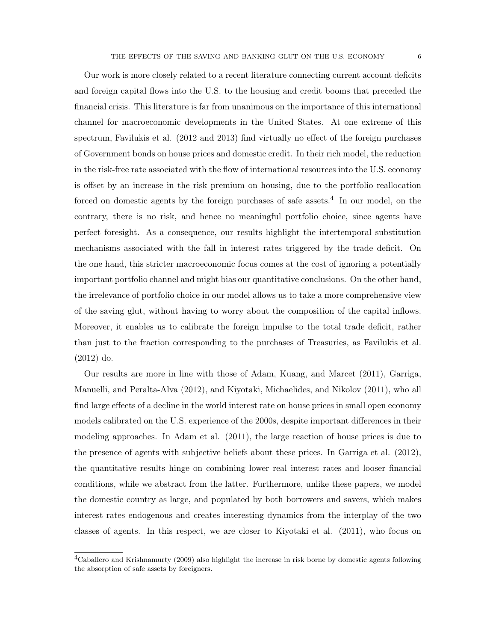Our work is more closely related to a recent literature connecting current account deficits and foreign capital flows into the U.S. to the housing and credit booms that preceded the financial crisis. This literature is far from unanimous on the importance of this international channel for macroeconomic developments in the United States. At one extreme of this spectrum, Favilukis et al. (2012 and 2013) find virtually no effect of the foreign purchases of Government bonds on house prices and domestic credit. In their rich model, the reduction in the risk-free rate associated with the flow of international resources into the U.S. economy is offset by an increase in the risk premium on housing, due to the portfolio reallocation forced on domestic agents by the foreign purchases of safe assets.<sup>4</sup> In our model, on the contrary, there is no risk, and hence no meaningful portfolio choice, since agents have perfect foresight. As a consequence, our results highlight the intertemporal substitution mechanisms associated with the fall in interest rates triggered by the trade deficit. On the one hand, this stricter macroeconomic focus comes at the cost of ignoring a potentially important portfolio channel and might bias our quantitative conclusions. On the other hand, the irrelevance of portfolio choice in our model allows us to take a more comprehensive view of the saving glut, without having to worry about the composition of the capital inflows. Moreover, it enables us to calibrate the foreign impulse to the total trade deficit, rather than just to the fraction corresponding to the purchases of Treasuries, as Favilukis et al. (2012) do.

Our results are more in line with those of Adam, Kuang, and Marcet (2011), Garriga, Manuelli, and Peralta-Alva (2012), and Kiyotaki, Michaelides, and Nikolov (2011), who all find large effects of a decline in the world interest rate on house prices in small open economy models calibrated on the U.S. experience of the 2000s, despite important differences in their modeling approaches. In Adam et al. (2011), the large reaction of house prices is due to the presence of agents with subjective beliefs about these prices. In Garriga et al. (2012), the quantitative results hinge on combining lower real interest rates and looser financial conditions, while we abstract from the latter. Furthermore, unlike these papers, we model the domestic country as large, and populated by both borrowers and savers, which makes interest rates endogenous and creates interesting dynamics from the interplay of the two classes of agents. In this respect, we are closer to Kiyotaki et al. (2011), who focus on

<sup>&</sup>lt;sup>4</sup>Caballero and Krishnamurty (2009) also highlight the increase in risk borne by domestic agents following the absorption of safe assets by foreigners.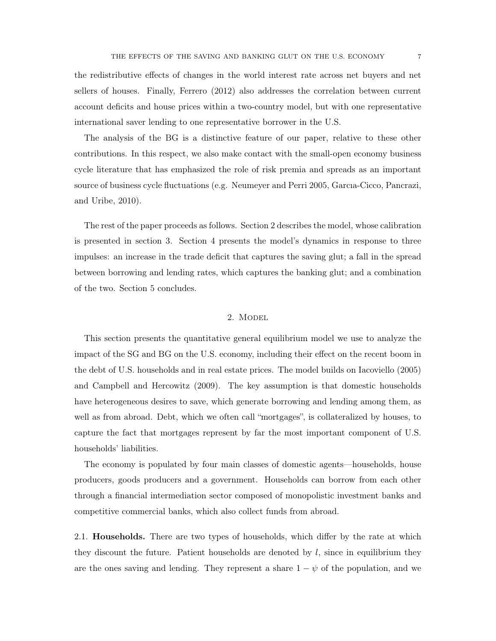the redistributive effects of changes in the world interest rate across net buyers and net sellers of houses. Finally, Ferrero (2012) also addresses the correlation between current account deficits and house prices within a two-country model, but with one representative international saver lending to one representative borrower in the U.S.

The analysis of the BG is a distinctive feature of our paper, relative to these other contributions. In this respect, we also make contact with the small-open economy business cycle literature that has emphasized the role of risk premia and spreads as an important source of business cycle fluctuations (e.g. Neumeyer and Perri 2005, Garcıa-Cicco, Pancrazi, and Uribe, 2010).

The rest of the paper proceeds as follows. Section 2 describes the model, whose calibration is presented in section 3. Section 4 presents the model's dynamics in response to three impulses: an increase in the trade deficit that captures the saving glut; a fall in the spread between borrowing and lending rates, which captures the banking glut; and a combination of the two. Section 5 concludes.

## 2. Model

This section presents the quantitative general equilibrium model we use to analyze the impact of the SG and BG on the U.S. economy, including their effect on the recent boom in the debt of U.S. households and in real estate prices. The model builds on Iacoviello (2005) and Campbell and Hercowitz (2009). The key assumption is that domestic households have heterogeneous desires to save, which generate borrowing and lending among them, as well as from abroad. Debt, which we often call "mortgages", is collateralized by houses, to capture the fact that mortgages represent by far the most important component of U.S. households' liabilities.

The economy is populated by four main classes of domestic agents—households, house producers, goods producers and a government. Households can borrow from each other through a financial intermediation sector composed of monopolistic investment banks and competitive commercial banks, which also collect funds from abroad.

2.1. Households. There are two types of households, which differ by the rate at which they discount the future. Patient households are denoted by  $l$ , since in equilibrium they are the ones saving and lending. They represent a share  $1 - \psi$  of the population, and we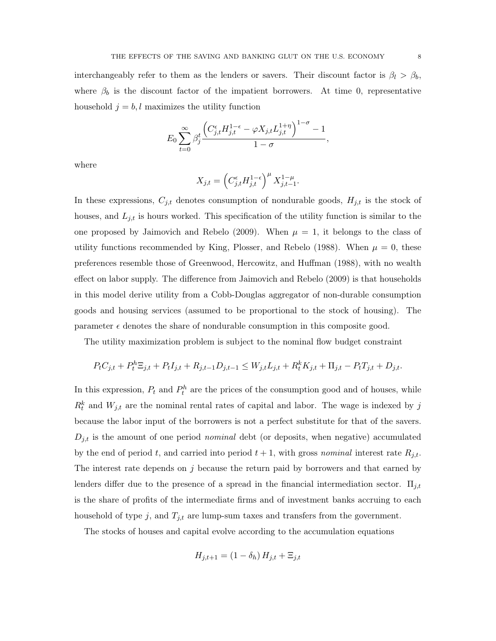interchangeably refer to them as the lenders or savers. Their discount factor is  $\beta_l > \beta_b$ , where  $\beta_b$  is the discount factor of the impatient borrowers. At time 0, representative household  $j = b, l$  maximizes the utility function

$$
E_0 \sum_{t=0}^{\infty} \beta_j^t \frac{\left(C_{j,t}^{\epsilon} H_{j,t}^{1-\epsilon} - \varphi X_{j,t} L_{j,t}^{1+\eta}\right)^{1-\sigma} - 1}{1-\sigma},
$$

where

$$
X_{j,t}=\left(C_{j,t}^\epsilon H_{j,t}^{1-\epsilon}\right)^\mu X_{j,t-1}^{1-\mu}.
$$

In these expressions,  $C_{j,t}$  denotes consumption of nondurable goods,  $H_{j,t}$  is the stock of houses, and  $L_{j,t}$  is hours worked. This specification of the utility function is similar to the one proposed by Jaimovich and Rebelo (2009). When  $\mu = 1$ , it belongs to the class of utility functions recommended by King, Plosser, and Rebelo (1988). When  $\mu = 0$ , these preferences resemble those of Greenwood, Hercowitz, and Huffman (1988), with no wealth effect on labor supply. The difference from Jaimovich and Rebelo (2009) is that households in this model derive utility from a Cobb-Douglas aggregator of non-durable consumption goods and housing services (assumed to be proportional to the stock of housing). The parameter  $\epsilon$  denotes the share of nondurable consumption in this composite good.

The utility maximization problem is subject to the nominal flow budget constraint

$$
P_t C_{j,t} + P_t^h \Xi_{j,t} + P_t I_{j,t} + R_{j,t-1} D_{j,t-1} \le W_{j,t} L_{j,t} + R_t^k K_{j,t} + \Pi_{j,t} - P_t T_{j,t} + D_{j,t}.
$$

In this expression,  $P_t$  and  $P_t^h$  are the prices of the consumption good and of houses, while  $R_t^k$  and  $W_{j,t}$  are the nominal rental rates of capital and labor. The wage is indexed by j because the labor input of the borrowers is not a perfect substitute for that of the savers.  $D_{j,t}$  is the amount of one period *nominal* debt (or deposits, when negative) accumulated by the end of period t, and carried into period  $t + 1$ , with gross *nominal* interest rate  $R_{j,t}$ . The interest rate depends on  $j$  because the return paid by borrowers and that earned by lenders differ due to the presence of a spread in the financial intermediation sector.  $\Pi_{j,t}$ is the share of profits of the intermediate firms and of investment banks accruing to each household of type  $j$ , and  $T_{j,t}$  are lump-sum taxes and transfers from the government.

The stocks of houses and capital evolve according to the accumulation equations

$$
H_{j,t+1} = (1 - \delta_h) H_{j,t} + \Xi_{j,t}
$$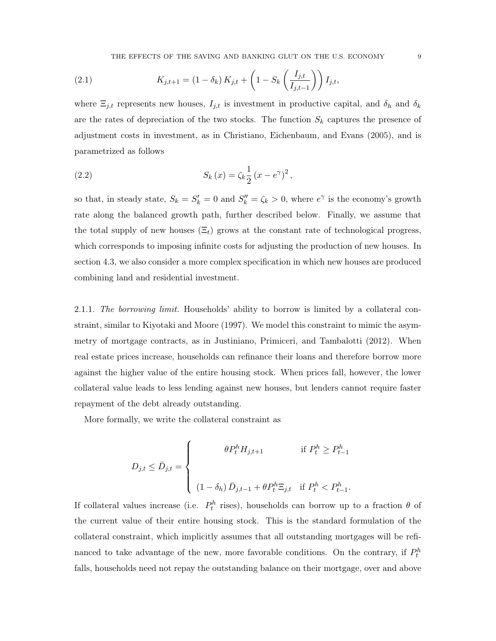(2.1) 
$$
K_{j,t+1} = (1 - \delta_k) K_{j,t} + \left(1 - S_k \left(\frac{I_{j,t}}{I_{j,t-1}}\right)\right) I_{j,t},
$$

where  $\Xi_{j,t}$  represents new houses,  $I_{j,t}$  is investment in productive capital, and  $\delta_h$  and  $\delta_k$ are the rates of depreciation of the two stocks. The function  $S_k$  captures the presence of adjustment costs in investment, as in Christiano, Eichenbaum, and Evans (2005), and is parametrized as follows

(2.2) 
$$
S_k(x) = \zeta_k \frac{1}{2} (x - e^{\gamma})^2,
$$

so that, in steady state,  $S_k = S'_k = 0$  and  $S''_k = \zeta_k > 0$ , where  $e^{\gamma}$  is the economy's growth rate along the balanced growth path, further described below. Finally, we assume that the total supply of new houses  $(\Xi_t)$  grows at the constant rate of technological progress, which corresponds to imposing infinite costs for adjusting the production of new houses. In section 4.3, we also consider a more complex specification in which new houses are produced combining land and residential investment.

2.1.1. *The borrowing limit.* Households' ability to borrow is limited by a collateral constraint, similar to Kiyotaki and Moore (1997). We model this constraint to mimic the asymmetry of mortgage contracts, as in Justiniano, Primiceri, and Tambalotti (2012). When real estate prices increase, households can refinance their loans and therefore borrow more against the higher value of the entire housing stock. When prices fall, however, the lower collateral value leads to less lending against new houses, but lenders cannot require faster repayment of the debt already outstanding.

More formally, we write the collateral constraint as

$$
D_{j,t} \leq \bar{D}_{j,t} = \begin{cases} \theta P_t^h H_{j,t+1} & \text{if } P_t^h \geq P_{t-1}^h \\\\ \frac{1}{(1 - \delta_h) \bar{D}_{j,t-1} + \theta P_t^h \Xi_{j,t}} & \text{if } P_t^h < P_{t-1}^h. \end{cases}
$$

If collateral values increase (i.e.  $P_t^h$  rises), households can borrow up to a fraction  $\theta$  of the current value of their entire housing stock. This is the standard formulation of the collateral constraint, which implicitly assumes that all outstanding mortgages will be refinanced to take advantage of the new, more favorable conditions. On the contrary, if  $P_t^h$ falls, households need not repay the outstanding balance on their mortgage, over and above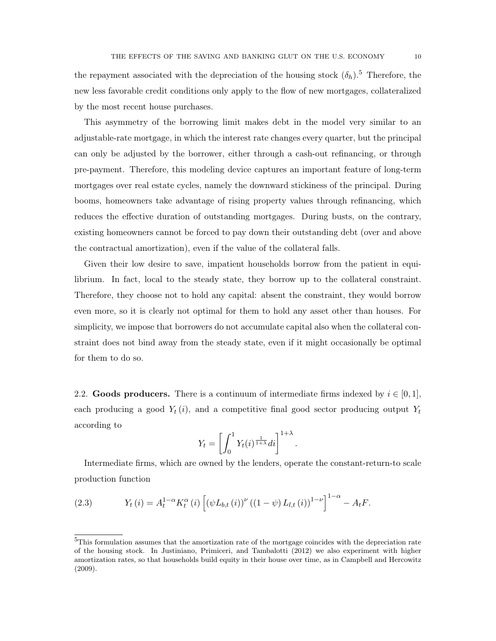the repayment associated with the depreciation of the housing stock  $(\delta_h)$ .<sup>5</sup> Therefore, the new less favorable credit conditions only apply to the flow of new mortgages, collateralized by the most recent house purchases.

This asymmetry of the borrowing limit makes debt in the model very similar to an adjustable-rate mortgage, in which the interest rate changes every quarter, but the principal can only be adjusted by the borrower, either through a cash-out refinancing, or through pre-payment. Therefore, this modeling device captures an important feature of long-term mortgages over real estate cycles, namely the downward stickiness of the principal. During booms, homeowners take advantage of rising property values through refinancing, which reduces the effective duration of outstanding mortgages. During busts, on the contrary, existing homeowners cannot be forced to pay down their outstanding debt (over and above the contractual amortization), even if the value of the collateral falls.

Given their low desire to save, impatient households borrow from the patient in equilibrium. In fact, local to the steady state, they borrow up to the collateral constraint. Therefore, they choose not to hold any capital: absent the constraint, they would borrow even more, so it is clearly not optimal for them to hold any asset other than houses. For simplicity, we impose that borrowers do not accumulate capital also when the collateral constraint does not bind away from the steady state, even if it might occasionally be optimal for them to do so.

2.2. Goods producers. There is a continuum of intermediate firms indexed by  $i \in [0,1]$ , each producing a good  $Y_t(i)$ , and a competitive final good sector producing output  $Y_t$ according to

$$
Y_t = \left[ \int_0^1 Y_t(i)^{\frac{1}{1+\lambda}} di \right]^{1+\lambda}.
$$

Intermediate firms, which are owned by the lenders, operate the constant-return-to scale production function

(2.3) 
$$
Y_t(i) = A_t^{1-\alpha} K_t^{\alpha}(i) \left[ \left( \psi L_{b,t}(i) \right)^{\nu} \left( (1-\psi) L_{l,t}(i) \right)^{1-\nu} \right]^{1-\alpha} - A_t F.
$$

 $5$ This formulation assumes that the amortization rate of the mortgage coincides with the depreciation rate of the housing stock. In Justiniano, Primiceri, and Tambalotti (2012) we also experiment with higher amortization rates, so that households build equity in their house over time, as in Campbell and Hercowitz (2009).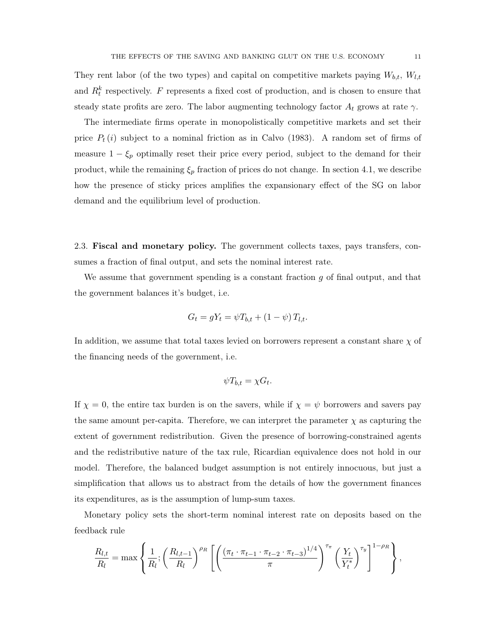They rent labor (of the two types) and capital on competitive markets paying  $W_{b,t}$ ,  $W_{l,t}$ and  $R_t^k$  respectively. F represents a fixed cost of production, and is chosen to ensure that steady state profits are zero. The labor augmenting technology factor  $A_t$  grows at rate  $\gamma$ .

The intermediate firms operate in monopolistically competitive markets and set their price  $P_t(i)$  subject to a nominal friction as in Calvo (1983). A random set of firms of measure  $1 - \xi_p$  optimally reset their price every period, subject to the demand for their product, while the remaining  $\xi_p$  fraction of prices do not change. In section 4.1, we describe how the presence of sticky prices amplifies the expansionary effect of the SG on labor demand and the equilibrium level of production.

2.3. Fiscal and monetary policy. The government collects taxes, pays transfers, consumes a fraction of final output, and sets the nominal interest rate.

We assume that government spending is a constant fraction  $q$  of final output, and that the government balances it's budget, i.e.

$$
G_t = gY_t = \psi T_{b,t} + (1 - \psi) T_{l,t}.
$$

In addition, we assume that total taxes levied on borrowers represent a constant share  $\chi$  of the financing needs of the government, i.e.

$$
\psi T_{b,t} = \chi G_t.
$$

If  $\chi = 0$ , the entire tax burden is on the savers, while if  $\chi = \psi$  borrowers and savers pay the same amount per-capita. Therefore, we can interpret the parameter  $\chi$  as capturing the extent of government redistribution. Given the presence of borrowing-constrained agents and the redistributive nature of the tax rule, Ricardian equivalence does not hold in our model. Therefore, the balanced budget assumption is not entirely innocuous, but just a simplification that allows us to abstract from the details of how the government finances its expenditures, as is the assumption of lump-sum taxes.

Monetary policy sets the short-term nominal interest rate on deposits based on the feedback rule

$$
\frac{R_{l,t}}{R_l} = \max \left\{ \frac{1}{R_l}; \left( \frac{R_{l,t-1}}{R_l} \right)^{\rho_R} \left[ \left( \frac{(\pi_t \cdot \pi_{t-1} \cdot \pi_{t-2} \cdot \pi_{t-3})^{1/4}}{\pi} \right)^{\tau_{\pi}} \left( \frac{Y_t}{Y_t^*} \right)^{\tau_y} \right]^{1-\rho_R} \right\},
$$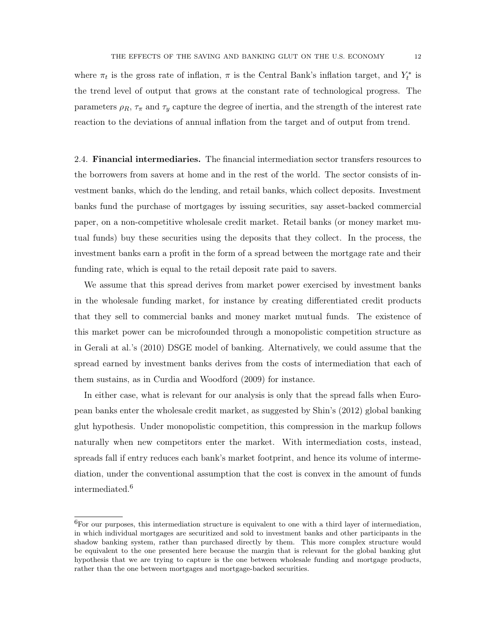where  $\pi_t$  is the gross rate of inflation,  $\pi$  is the Central Bank's inflation target, and  $Y_t^*$  is the trend level of output that grows at the constant rate of technological progress. The parameters  $\rho_R$ ,  $\tau_{\pi}$  and  $\tau_y$  capture the degree of inertia, and the strength of the interest rate reaction to the deviations of annual inflation from the target and of output from trend.

2.4. Financial intermediaries. The financial intermediation sector transfers resources to the borrowers from savers at home and in the rest of the world. The sector consists of investment banks, which do the lending, and retail banks, which collect deposits. Investment banks fund the purchase of mortgages by issuing securities, say asset-backed commercial paper, on a non-competitive wholesale credit market. Retail banks (or money market mutual funds) buy these securities using the deposits that they collect. In the process, the investment banks earn a profit in the form of a spread between the mortgage rate and their funding rate, which is equal to the retail deposit rate paid to savers.

We assume that this spread derives from market power exercised by investment banks in the wholesale funding market, for instance by creating differentiated credit products that they sell to commercial banks and money market mutual funds. The existence of this market power can be microfounded through a monopolistic competition structure as in Gerali at al.'s (2010) DSGE model of banking. Alternatively, we could assume that the spread earned by investment banks derives from the costs of intermediation that each of them sustains, as in Curdia and Woodford (2009) for instance.

In either case, what is relevant for our analysis is only that the spread falls when European banks enter the wholesale credit market, as suggested by Shin's (2012) global banking glut hypothesis. Under monopolistic competition, this compression in the markup follows naturally when new competitors enter the market. With intermediation costs, instead, spreads fall if entry reduces each bank's market footprint, and hence its volume of intermediation, under the conventional assumption that the cost is convex in the amount of funds intermediated.<sup>6</sup>

 ${}^{6}$ For our purposes, this intermediation structure is equivalent to one with a third layer of intermediation, in which individual mortgages are securitized and sold to investment banks and other participants in the shadow banking system, rather than purchased directly by them. This more complex structure would be equivalent to the one presented here because the margin that is relevant for the global banking glut hypothesis that we are trying to capture is the one between wholesale funding and mortgage products, rather than the one between mortgages and mortgage-backed securities.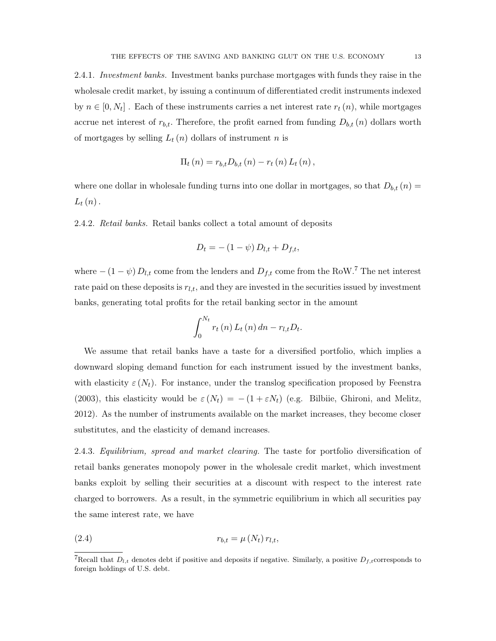2.4.1. *Investment banks.* Investment banks purchase mortgages with funds they raise in the wholesale credit market, by issuing a continuum of differentiated credit instruments indexed by  $n \in [0, N_t]$ . Each of these instruments carries a net interest rate  $r_t(n)$ , while mortgages accrue net interest of  $r_{b,t}$ . Therefore, the profit earned from funding  $D_{b,t}(n)$  dollars worth of mortgages by selling  $L_t(n)$  dollars of instrument n is

$$
\Pi_{t}(n) = r_{b,t} D_{b,t}(n) - r_{t}(n) L_{t}(n),
$$

where one dollar in wholesale funding turns into one dollar in mortgages, so that  $D_{b,t}(n) =$  $L_t(n)$ .

2.4.2. *Retail banks.* Retail banks collect a total amount of deposits

$$
D_t = -(1 - \psi) D_{l,t} + D_{f,t},
$$

where  $-(1 - \psi) D_{l,t}$  come from the lenders and  $D_{f,t}$  come from the RoW.<sup>7</sup> The net interest rate paid on these deposits is  $r_{l,t}$ , and they are invested in the securities issued by investment banks, generating total profits for the retail banking sector in the amount

$$
\int_0^{N_t} r_t(n) L_t(n) dn - r_{l,t} D_t.
$$

We assume that retail banks have a taste for a diversified portfolio, which implies a downward sloping demand function for each instrument issued by the investment banks, with elasticity  $\varepsilon (N_t)$ . For instance, under the translog specification proposed by Feenstra (2003), this elasticity would be  $\varepsilon (N_t) = -(1 + \varepsilon N_t)$  (e.g. Bilbiie, Ghironi, and Melitz, 2012). As the number of instruments available on the market increases, they become closer substitutes, and the elasticity of demand increases.

2.4.3. *Equilibrium, spread and market clearing.* The taste for portfolio diversification of retail banks generates monopoly power in the wholesale credit market, which investment banks exploit by selling their securities at a discount with respect to the interest rate charged to borrowers. As a result, in the symmetric equilibrium in which all securities pay the same interest rate, we have

$$
r_{b,t} = \mu\left(N_t\right)r_{l,t},
$$

<sup>&</sup>lt;sup>7</sup>Recall that  $D_{l,t}$  denotes debt if positive and deposits if negative. Similarly, a positive  $D_{f,t}$ corresponds to foreign holdings of U.S. debt.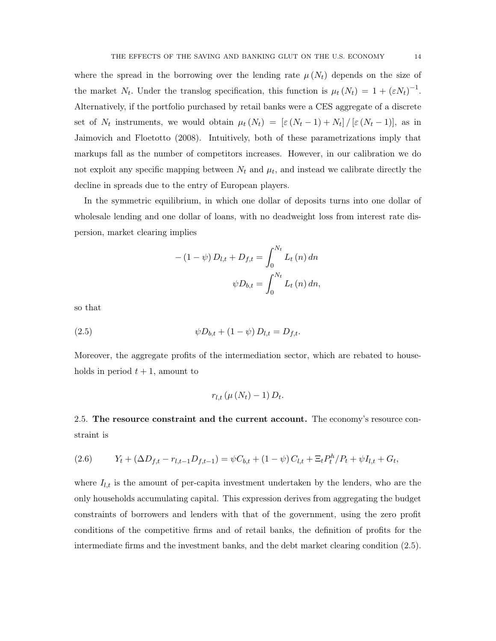where the spread in the borrowing over the lending rate  $\mu(N_t)$  depends on the size of the market  $N_t$ . Under the translog specification, this function is  $\mu_t(N_t) = 1 + (\varepsilon N_t)^{-1}$ . Alternatively, if the portfolio purchased by retail banks were a CES aggregate of a discrete set of  $N_t$  instruments, we would obtain  $\mu_t (N_t)=[\varepsilon (N_t - 1) + N_t] / [\varepsilon (N_t - 1)],$  as in Jaimovich and Floetotto (2008). Intuitively, both of these parametrizations imply that markups fall as the number of competitors increases. However, in our calibration we do not exploit any specific mapping between  $N_t$  and  $\mu_t$ , and instead we calibrate directly the decline in spreads due to the entry of European players.

In the symmetric equilibrium, in which one dollar of deposits turns into one dollar of wholesale lending and one dollar of loans, with no deadweight loss from interest rate dispersion, market clearing implies

$$
-(1 - \psi) D_{l,t} + D_{f,t} = \int_0^{N_t} L_t(n) \, dn
$$

$$
\psi D_{b,t} = \int_0^{N_t} L_t(n) \, dn,
$$

so that

(2.5) 
$$
\psi D_{b,t} + (1 - \psi) D_{l,t} = D_{f,t}.
$$

Moreover, the aggregate profits of the intermediation sector, which are rebated to households in period  $t + 1$ , amount to

$$
r_{l,t}\left(\mu\left(N_{t}\right)-1\right)D_{t}.
$$

2.5. The resource constraint and the current account. The economy's resource constraint is

(2.6) 
$$
Y_t + (\Delta D_{f,t} - r_{l,t-1}D_{f,t-1}) = \psi C_{b,t} + (1 - \psi) C_{l,t} + \Xi_t P_t^h / P_t + \psi I_{l,t} + G_t,
$$

where  $I_{l,t}$  is the amount of per-capita investment undertaken by the lenders, who are the only households accumulating capital. This expression derives from aggregating the budget constraints of borrowers and lenders with that of the government, using the zero profit conditions of the competitive firms and of retail banks, the definition of profits for the intermediate firms and the investment banks, and the debt market clearing condition (2.5).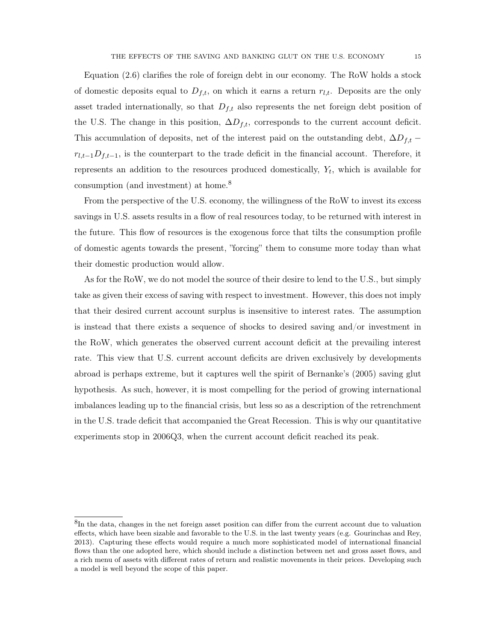Equation (2.6) clarifies the role of foreign debt in our economy. The RoW holds a stock of domestic deposits equal to  $D_{f,t}$ , on which it earns a return  $r_{l,t}$ . Deposits are the only asset traded internationally, so that  $D_{f,t}$  also represents the net foreign debt position of the U.S. The change in this position,  $\Delta D_{f,t}$ , corresponds to the current account deficit. This accumulation of deposits, net of the interest paid on the outstanding debt,  $\Delta D_{f,t}$  −  $r_{l,t-1}D_{f,t-1}$ , is the counterpart to the trade deficit in the financial account. Therefore, it represents an addition to the resources produced domestically,  $Y_t$ , which is available for consumption (and investment) at home.<sup>8</sup>

From the perspective of the U.S. economy, the willingness of the RoW to invest its excess savings in U.S. assets results in a flow of real resources today, to be returned with interest in the future. This flow of resources is the exogenous force that tilts the consumption profile of domestic agents towards the present, "forcing" them to consume more today than what their domestic production would allow.

As for the RoW, we do not model the source of their desire to lend to the U.S., but simply take as given their excess of saving with respect to investment. However, this does not imply that their desired current account surplus is insensitive to interest rates. The assumption is instead that there exists a sequence of shocks to desired saving and/or investment in the RoW, which generates the observed current account deficit at the prevailing interest rate. This view that U.S. current account deficits are driven exclusively by developments abroad is perhaps extreme, but it captures well the spirit of Bernanke's (2005) saving glut hypothesis. As such, however, it is most compelling for the period of growing international imbalances leading up to the financial crisis, but less so as a description of the retrenchment in the U.S. trade deficit that accompanied the Great Recession. This is why our quantitative experiments stop in 2006Q3, when the current account deficit reached its peak.

<sup>&</sup>lt;sup>8</sup>In the data, changes in the net foreign asset position can differ from the current account due to valuation effects, which have been sizable and favorable to the U.S. in the last twenty years (e.g. Gourinchas and Rey, 2013). Capturing these effects would require a much more sophisticated model of international financial flows than the one adopted here, which should include a distinction between net and gross asset flows, and a rich menu of assets with different rates of return and realistic movements in their prices. Developing such a model is well beyond the scope of this paper.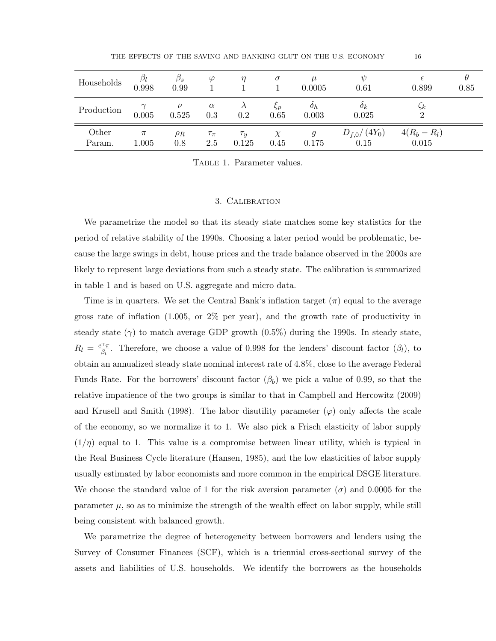| Households      | Øι<br>0.998     | $\beta_s$<br>0.99 | $\varphi$         | п                 | $\sigma$                          | μ<br>0.0005    | W<br>0.61                | 0.899                   | H<br>0.85 |
|-----------------|-----------------|-------------------|-------------------|-------------------|-----------------------------------|----------------|--------------------------|-------------------------|-----------|
| Production      | $\sim$<br>0.005 | $\nu$<br>0.525    | $\alpha$<br>0.3   | 0.2               | $\varsigma_{\mathcal{P}}$<br>0.65 | $o_h$<br>0.003 | $o_k$<br>0.025           | $\varsigma$ k<br>2      |           |
| Other<br>Param. | $\pi$<br>1.005  | $\rho_R$<br>0.8   | $\tau_\pi$<br>2.5 | $\tau_y$<br>0.125 | 0.45                              | g<br>0.175     | $D_{f,0}/(4Y_0)$<br>0.15 | $4(R_b - R_l)$<br>0.015 |           |

THE EFFECTS OF THE SAVING AND BANKING GLUT ON THE U.S. ECONOMY 16

Table 1. Parameter values.

### 3. Calibration

We parametrize the model so that its steady state matches some key statistics for the period of relative stability of the 1990s. Choosing a later period would be problematic, because the large swings in debt, house prices and the trade balance observed in the 2000s are likely to represent large deviations from such a steady state. The calibration is summarized in table 1 and is based on U.S. aggregate and micro data.

Time is in quarters. We set the Central Bank's inflation target  $(\pi)$  equal to the average gross rate of inflation  $(1.005, \text{ or } 2\%$  per year), and the growth rate of productivity in steady state  $(\gamma)$  to match average GDP growth  $(0.5\%)$  during the 1990s. In steady state,  $R_l = \frac{e^{\gamma} \pi}{\beta_l}$ . Therefore, we choose a value of 0.998 for the lenders' discount factor  $(\beta_l)$ , to obtain an annualized steady state nominal interest rate of 4.8%, close to the average Federal Funds Rate. For the borrowers' discount factor  $(\beta_h)$  we pick a value of 0.99, so that the relative impatience of the two groups is similar to that in Campbell and Hercowitz (2009) and Krusell and Smith (1998). The labor disutility parameter  $(\varphi)$  only affects the scale of the economy, so we normalize it to 1. We also pick a Frisch elasticity of labor supply  $(1/\eta)$  equal to 1. This value is a compromise between linear utility, which is typical in the Real Business Cycle literature (Hansen, 1985), and the low elasticities of labor supply usually estimated by labor economists and more common in the empirical DSGE literature. We choose the standard value of 1 for the risk aversion parameter ( $\sigma$ ) and 0.0005 for the parameter  $\mu$ , so as to minimize the strength of the wealth effect on labor supply, while still being consistent with balanced growth.

We parametrize the degree of heterogeneity between borrowers and lenders using the Survey of Consumer Finances (SCF), which is a triennial cross-sectional survey of the assets and liabilities of U.S. households. We identify the borrowers as the households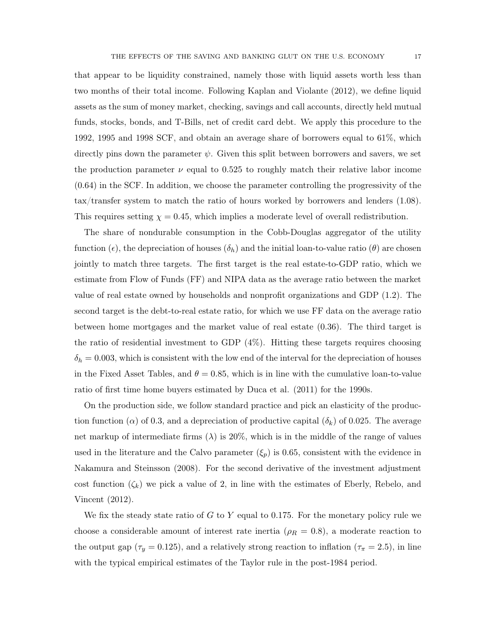that appear to be liquidity constrained, namely those with liquid assets worth less than two months of their total income. Following Kaplan and Violante (2012), we define liquid assets as the sum of money market, checking, savings and call accounts, directly held mutual funds, stocks, bonds, and T-Bills, net of credit card debt. We apply this procedure to the 1992, 1995 and 1998 SCF, and obtain an average share of borrowers equal to 61%, which directly pins down the parameter  $\psi$ . Given this split between borrowers and savers, we set the production parameter  $\nu$  equal to 0.525 to roughly match their relative labor income (0.64) in the SCF. In addition, we choose the parameter controlling the progressivity of the tax/transfer system to match the ratio of hours worked by borrowers and lenders (1.08). This requires setting  $\chi = 0.45$ , which implies a moderate level of overall redistribution.

The share of nondurable consumption in the Cobb-Douglas aggregator of the utility function ( $\epsilon$ ), the depreciation of houses  $(\delta_h)$  and the initial loan-to-value ratio ( $\theta$ ) are chosen jointly to match three targets. The first target is the real estate-to-GDP ratio, which we estimate from Flow of Funds (FF) and NIPA data as the average ratio between the market value of real estate owned by households and nonprofit organizations and GDP (1.2). The second target is the debt-to-real estate ratio, for which we use FF data on the average ratio between home mortgages and the market value of real estate (0.36). The third target is the ratio of residential investment to GDP (4%). Hitting these targets requires choosing  $\delta_h = 0.003$ , which is consistent with the low end of the interval for the depreciation of houses in the Fixed Asset Tables, and  $\theta = 0.85$ , which is in line with the cumulative loan-to-value ratio of first time home buyers estimated by Duca et al. (2011) for the 1990s.

On the production side, we follow standard practice and pick an elasticity of the production function ( $\alpha$ ) of 0.3, and a depreciation of productive capital ( $\delta_k$ ) of 0.025. The average net markup of intermediate firms  $(\lambda)$  is 20%, which is in the middle of the range of values used in the literature and the Calvo parameter  $(\xi_p)$  is 0.65, consistent with the evidence in Nakamura and Steinsson (2008). For the second derivative of the investment adjustment cost function  $(\zeta_k)$  we pick a value of 2, in line with the estimates of Eberly, Rebelo, and Vincent (2012).

We fix the steady state ratio of  $G$  to  $Y$  equal to 0.175. For the monetary policy rule we choose a considerable amount of interest rate inertia ( $\rho_R = 0.8$ ), a moderate reaction to the output gap ( $\tau_y = 0.125$ ), and a relatively strong reaction to inflation ( $\tau_\pi = 2.5$ ), in line with the typical empirical estimates of the Taylor rule in the post-1984 period.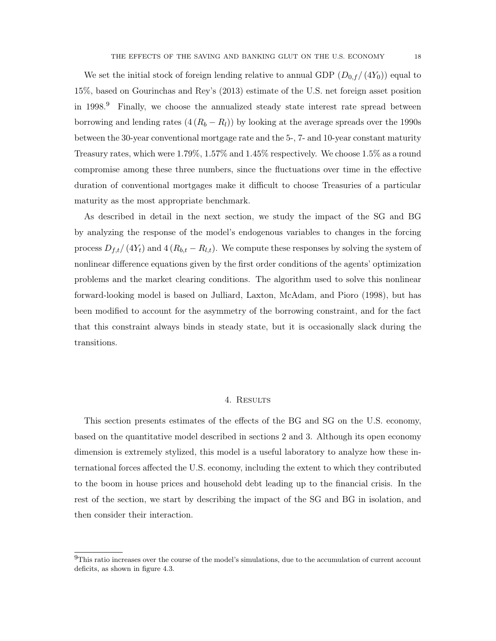We set the initial stock of foreign lending relative to annual GDP  $(D_{0,f}/(4Y_0))$  equal to 15%, based on Gourinchas and Rey's (2013) estimate of the U.S. net foreign asset position in 1998.<sup>9</sup> Finally, we choose the annualized steady state interest rate spread between borrowing and lending rates  $(4(R_b - R_l))$  by looking at the average spreads over the 1990s between the 30-year conventional mortgage rate and the 5-, 7- and 10-year constant maturity Treasury rates, which were 1.79%, 1.57% and 1.45% respectively. We choose 1.5% as a round compromise among these three numbers, since the fluctuations over time in the effective duration of conventional mortgages make it difficult to choose Treasuries of a particular maturity as the most appropriate benchmark.

As described in detail in the next section, we study the impact of the SG and BG by analyzing the response of the model's endogenous variables to changes in the forcing process  $D_{f,t}/(4Y_t)$  and  $4(R_{b,t} - R_{l,t})$ . We compute these responses by solving the system of nonlinear difference equations given by the first order conditions of the agents' optimization problems and the market clearing conditions. The algorithm used to solve this nonlinear forward-looking model is based on Julliard, Laxton, McAdam, and Pioro (1998), but has been modified to account for the asymmetry of the borrowing constraint, and for the fact that this constraint always binds in steady state, but it is occasionally slack during the transitions.

### 4. Results

This section presents estimates of the effects of the BG and SG on the U.S. economy, based on the quantitative model described in sections 2 and 3. Although its open economy dimension is extremely stylized, this model is a useful laboratory to analyze how these international forces affected the U.S. economy, including the extent to which they contributed to the boom in house prices and household debt leading up to the financial crisis. In the rest of the section, we start by describing the impact of the SG and BG in isolation, and then consider their interaction.

 $<sup>9</sup>$ This ratio increases over the course of the model's simulations, due to the accumulation of current account</sup> deficits, as shown in figure 4.3.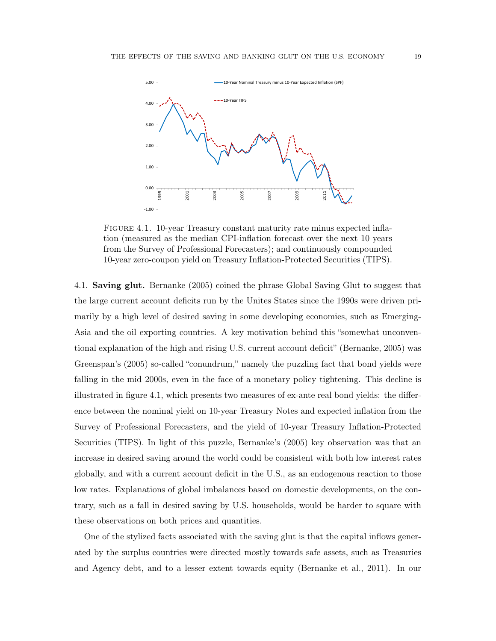

Figure 4.1. 10-year Treasury constant maturity rate minus expected inflation (measured as the median CPI-inflation forecast over the next 10 years from the Survey of Professional Forecasters); and continuously compounded 10-year zero-coupon yield on Treasury Inflation-Protected Securities (TIPS).

4.1. Saving glut. Bernanke (2005) coined the phrase Global Saving Glut to suggest that the large current account deficits run by the Unites States since the 1990s were driven primarily by a high level of desired saving in some developing economies, such as Emerging-Asia and the oil exporting countries. A key motivation behind this "somewhat unconventional explanation of the high and rising U.S. current account deficit" (Bernanke, 2005) was Greenspan's (2005) so-called "conundrum," namely the puzzling fact that bond yields were falling in the mid 2000s, even in the face of a monetary policy tightening. This decline is illustrated in figure 4.1, which presents two measures of ex-ante real bond yields: the difference between the nominal yield on 10-year Treasury Notes and expected inflation from the Survey of Professional Forecasters, and the yield of 10-year Treasury Inflation-Protected Securities (TIPS). In light of this puzzle, Bernanke's (2005) key observation was that an increase in desired saving around the world could be consistent with both low interest rates globally, and with a current account deficit in the U.S., as an endogenous reaction to those low rates. Explanations of global imbalances based on domestic developments, on the contrary, such as a fall in desired saving by U.S. households, would be harder to square with these observations on both prices and quantities.

One of the stylized facts associated with the saving glut is that the capital inflows generated by the surplus countries were directed mostly towards safe assets, such as Treasuries and Agency debt, and to a lesser extent towards equity (Bernanke et al., 2011). In our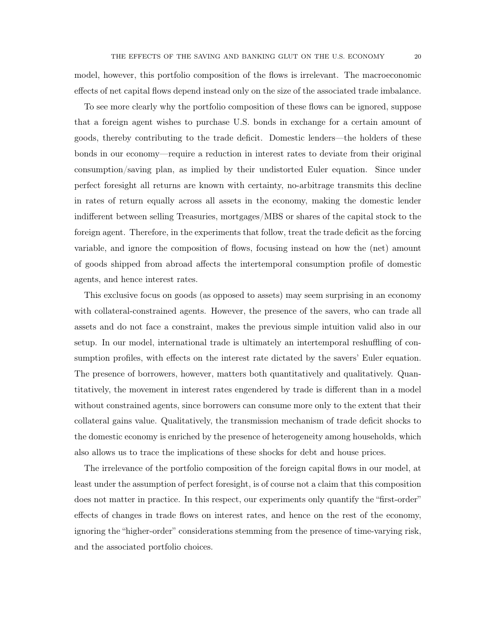model, however, this portfolio composition of the flows is irrelevant. The macroeconomic effects of net capital flows depend instead only on the size of the associated trade imbalance.

To see more clearly why the portfolio composition of these flows can be ignored, suppose that a foreign agent wishes to purchase U.S. bonds in exchange for a certain amount of goods, thereby contributing to the trade deficit. Domestic lenders—the holders of these bonds in our economy—require a reduction in interest rates to deviate from their original consumption/saving plan, as implied by their undistorted Euler equation. Since under perfect foresight all returns are known with certainty, no-arbitrage transmits this decline in rates of return equally across all assets in the economy, making the domestic lender indifferent between selling Treasuries, mortgages/MBS or shares of the capital stock to the foreign agent. Therefore, in the experiments that follow, treat the trade deficit as the forcing variable, and ignore the composition of flows, focusing instead on how the (net) amount of goods shipped from abroad affects the intertemporal consumption profile of domestic agents, and hence interest rates.

This exclusive focus on goods (as opposed to assets) may seem surprising in an economy with collateral-constrained agents. However, the presence of the savers, who can trade all assets and do not face a constraint, makes the previous simple intuition valid also in our setup. In our model, international trade is ultimately an intertemporal reshuffling of consumption profiles, with effects on the interest rate dictated by the savers' Euler equation. The presence of borrowers, however, matters both quantitatively and qualitatively. Quantitatively, the movement in interest rates engendered by trade is different than in a model without constrained agents, since borrowers can consume more only to the extent that their collateral gains value. Qualitatively, the transmission mechanism of trade deficit shocks to the domestic economy is enriched by the presence of heterogeneity among households, which also allows us to trace the implications of these shocks for debt and house prices.

The irrelevance of the portfolio composition of the foreign capital flows in our model, at least under the assumption of perfect foresight, is of course not a claim that this composition does not matter in practice. In this respect, our experiments only quantify the "first-order" effects of changes in trade flows on interest rates, and hence on the rest of the economy, ignoring the "higher-order" considerations stemming from the presence of time-varying risk, and the associated portfolio choices.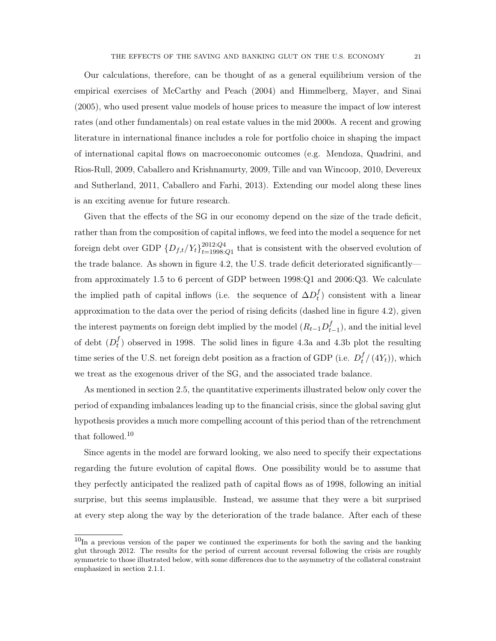Our calculations, therefore, can be thought of as a general equilibrium version of the empirical exercises of McCarthy and Peach (2004) and Himmelberg, Mayer, and Sinai (2005), who used present value models of house prices to measure the impact of low interest rates (and other fundamentals) on real estate values in the mid 2000s. A recent and growing literature in international finance includes a role for portfolio choice in shaping the impact of international capital flows on macroeconomic outcomes (e.g. Mendoza, Quadrini, and Rios-Rull, 2009, Caballero and Krishnamurty, 2009, Tille and van Wincoop, 2010, Devereux and Sutherland, 2011, Caballero and Farhi, 2013). Extending our model along these lines is an exciting avenue for future research.

Given that the effects of the SG in our economy depend on the size of the trade deficit, rather than from the composition of capital inflows, we feed into the model a sequence for net foreign debt over GDP  $\{D_{f,t}/Y_t\}_{t=1998:Q1}^{2012:Q4}$  that is consistent with the observed evolution of the trade balance. As shown in figure 4.2, the U.S. trade deficit deteriorated significantly from approximately 1.5 to 6 percent of GDP between 1998:Q1 and 2006:Q3. We calculate the implied path of capital inflows (i.e. the sequence of  $\Delta D_t^f$ ) consistent with a linear approximation to the data over the period of rising deficits (dashed line in figure 4.2), given the interest payments on foreign debt implied by the model  $(R_{t-1}D_{t-1}^f)$ , and the initial level of debt  $(D_t^f)$  observed in 1998. The solid lines in figure 4.3a and 4.3b plot the resulting time series of the U.S. net foreign debt position as a fraction of GDP (i.e.  $D_t^f/(4Y_t)$ ), which we treat as the exogenous driver of the SG, and the associated trade balance.

As mentioned in section 2.5, the quantitative experiments illustrated below only cover the period of expanding imbalances leading up to the financial crisis, since the global saving glut hypothesis provides a much more compelling account of this period than of the retrenchment that followed.<sup>10</sup>

Since agents in the model are forward looking, we also need to specify their expectations regarding the future evolution of capital flows. One possibility would be to assume that they perfectly anticipated the realized path of capital flows as of 1998, following an initial surprise, but this seems implausible. Instead, we assume that they were a bit surprised at every step along the way by the deterioration of the trade balance. After each of these

 $10$ In a previous version of the paper we continued the experiments for both the saving and the banking glut through 2012. The results for the period of current account reversal following the crisis are roughly symmetric to those illustrated below, with some differences due to the asymmetry of the collateral constraint emphasized in section 2.1.1.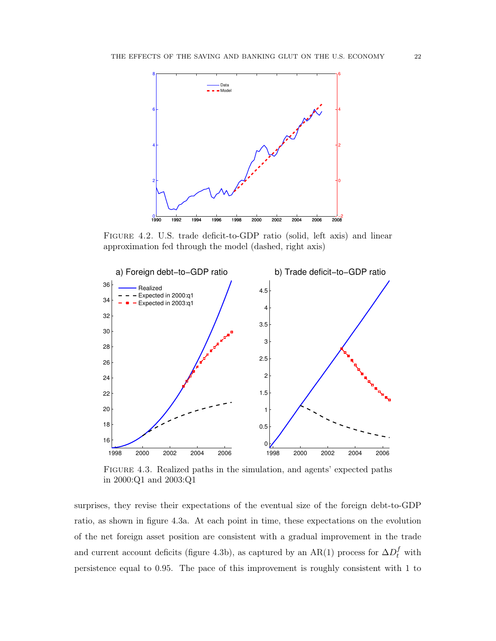

Figure 4.2. U.S. trade deficit-to-GDP ratio (solid, left axis) and linear approximation fed through the model (dashed, right axis)



Figure 4.3. Realized paths in the simulation, and agents' expected paths in 2000:Q1 and 2003:Q1

surprises, they revise their expectations of the eventual size of the foreign debt-to-GDP ratio, as shown in figure 4.3a. At each point in time, these expectations on the evolution of the net foreign asset position are consistent with a gradual improvement in the trade and current account deficits (figure 4.3b), as captured by an AR(1) process for  $\Delta D_t^f$  with persistence equal to 0.95. The pace of this improvement is roughly consistent with 1 to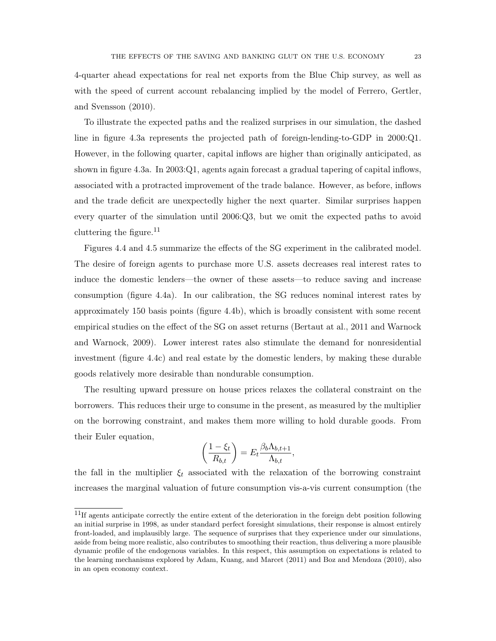4-quarter ahead expectations for real net exports from the Blue Chip survey, as well as with the speed of current account rebalancing implied by the model of Ferrero, Gertler, and Svensson (2010).

To illustrate the expected paths and the realized surprises in our simulation, the dashed line in figure 4.3a represents the projected path of foreign-lending-to-GDP in 2000:Q1. However, in the following quarter, capital inflows are higher than originally anticipated, as shown in figure 4.3a. In 2003:Q1, agents again forecast a gradual tapering of capital inflows, associated with a protracted improvement of the trade balance. However, as before, inflows and the trade deficit are unexpectedly higher the next quarter. Similar surprises happen every quarter of the simulation until 2006:Q3, but we omit the expected paths to avoid cluttering the figure. $^{11}$ 

Figures 4.4 and 4.5 summarize the effects of the SG experiment in the calibrated model. The desire of foreign agents to purchase more U.S. assets decreases real interest rates to induce the domestic lenders—the owner of these assets—to reduce saving and increase consumption (figure 4.4a). In our calibration, the SG reduces nominal interest rates by approximately 150 basis points (figure 4.4b), which is broadly consistent with some recent empirical studies on the effect of the SG on asset returns (Bertaut at al., 2011 and Warnock and Warnock, 2009). Lower interest rates also stimulate the demand for nonresidential investment (figure 4.4c) and real estate by the domestic lenders, by making these durable goods relatively more desirable than nondurable consumption.

The resulting upward pressure on house prices relaxes the collateral constraint on the borrowers. This reduces their urge to consume in the present, as measured by the multiplier on the borrowing constraint, and makes them more willing to hold durable goods. From their Euler equation,

$$
\left(\frac{1-\xi_t}{R_{b,t}}\right) = E_t \frac{\beta_b \Lambda_{b,t+1}}{\Lambda_{b,t}},
$$

the fall in the multiplier  $\xi_t$  associated with the relaxation of the borrowing constraint increases the marginal valuation of future consumption vis-a-vis current consumption (the

 $11$ If agents anticipate correctly the entire extent of the deterioration in the foreign debt position following an initial surprise in 1998, as under standard perfect foresight simulations, their response is almost entirely front-loaded, and implausibly large. The sequence of surprises that they experience under our simulations, aside from being more realistic, also contributes to smoothing their reaction, thus delivering a more plausible dynamic profile of the endogenous variables. In this respect, this assumption on expectations is related to the learning mechanisms explored by Adam, Kuang, and Marcet (2011) and Boz and Mendoza (2010), also in an open economy context.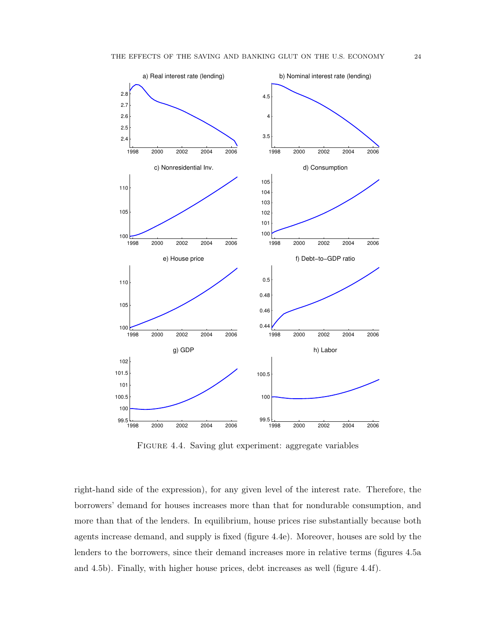

FIGURE 4.4. Saving glut experiment: aggregate variables

right-hand side of the expression), for any given level of the interest rate. Therefore, the borrowers' demand for houses increases more than that for nondurable consumption, and more than that of the lenders. In equilibrium, house prices rise substantially because both agents increase demand, and supply is fixed (figure 4.4e). Moreover, houses are sold by the lenders to the borrowers, since their demand increases more in relative terms (figures 4.5a and 4.5b). Finally, with higher house prices, debt increases as well (figure 4.4f).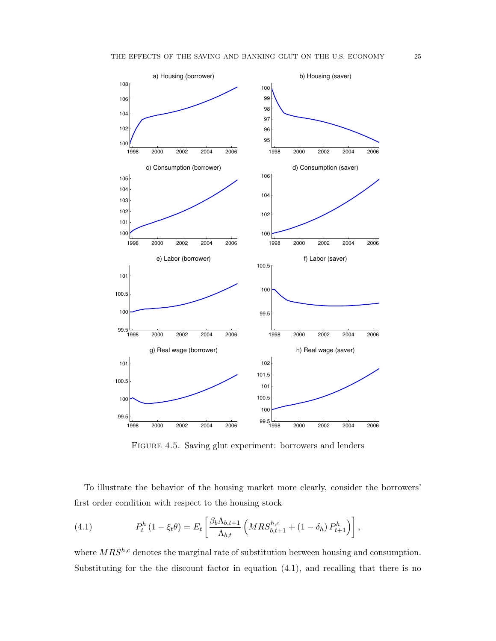

Figure 4.5. Saving glut experiment: borrowers and lenders

To illustrate the behavior of the housing market more clearly, consider the borrowers' first order condition with respect to the housing stock

(4.1) 
$$
P_t^h (1 - \xi_t \theta) = E_t \left[ \frac{\beta_b \Lambda_{b,t+1}}{\Lambda_{b,t}} \left( MRS_{b,t+1}^{h,c} + (1 - \delta_h) P_{t+1}^h \right) \right],
$$

where  $MRS^{h,c}$  denotes the marginal rate of substitution between housing and consumption. Substituting for the the discount factor in equation (4.1), and recalling that there is no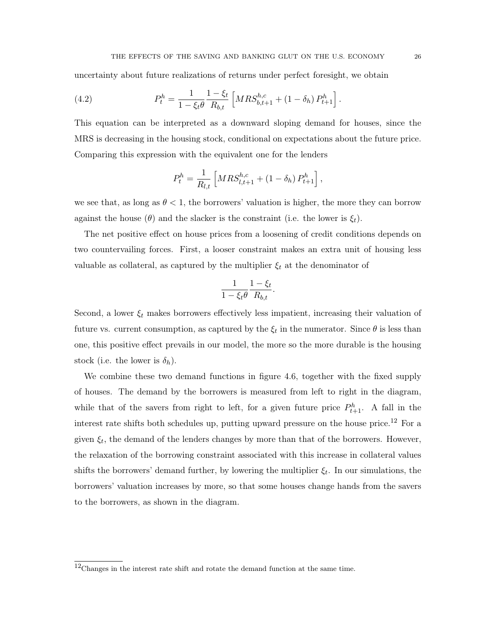uncertainty about future realizations of returns under perfect foresight, we obtain

(4.2) 
$$
P_t^h = \frac{1}{1 - \xi_t \theta} \frac{1 - \xi_t}{R_{b,t}} \left[ MRS_{b,t+1}^{h,c} + (1 - \delta_h) P_{t+1}^h \right]
$$

This equation can be interpreted as a downward sloping demand for houses, since the MRS is decreasing in the housing stock, conditional on expectations about the future price. Comparing this expression with the equivalent one for the lenders

$$
P_t^h = \frac{1}{R_{l,t}} \left[ MRS_{l,t+1}^{h,c} + (1 - \delta_h) P_{t+1}^h \right],
$$

we see that, as long as  $\theta < 1$ , the borrowers' valuation is higher, the more they can borrow against the house ( $\theta$ ) and the slacker is the constraint (i.e. the lower is  $\xi_t$ ).

The net positive effect on house prices from a loosening of credit conditions depends on two countervailing forces. First, a looser constraint makes an extra unit of housing less valuable as collateral, as captured by the multiplier  $\xi_t$  at the denominator of

$$
\frac{1}{1-\xi_t\theta}\frac{1-\xi_t}{R_{b,t}}.
$$

Second, a lower  $\xi_t$  makes borrowers effectively less impatient, increasing their valuation of future vs. current consumption, as captured by the  $\xi_t$  in the numerator. Since  $\theta$  is less than one, this positive effect prevails in our model, the more so the more durable is the housing stock (i.e. the lower is  $\delta_h$ ).

We combine these two demand functions in figure 4.6, together with the fixed supply of houses. The demand by the borrowers is measured from left to right in the diagram, while that of the savers from right to left, for a given future price  $P_{t+1}^h$ . A fall in the interest rate shifts both schedules up, putting upward pressure on the house price.<sup>12</sup> For a given  $\xi_t$ , the demand of the lenders changes by more than that of the borrowers. However, the relaxation of the borrowing constraint associated with this increase in collateral values shifts the borrowers' demand further, by lowering the multiplier  $\xi_t$ . In our simulations, the borrowers' valuation increases by more, so that some houses change hands from the savers to the borrowers, as shown in the diagram.

.

<sup>12</sup>Changes in the interest rate shift and rotate the demand function at the same time.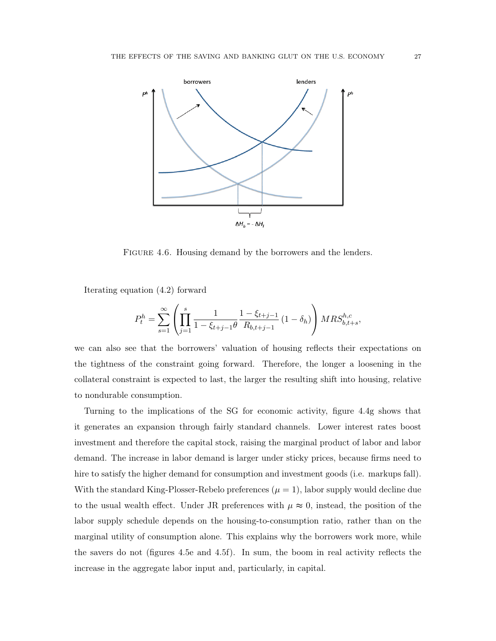

FIGURE 4.6. Housing demand by the borrowers and the lenders.

Iterating equation (4.2) forward

$$
P_t^h = \sum_{s=1}^{\infty} \left( \prod_{j=1}^s \frac{1}{1 - \xi_{t+j-1} \theta} \frac{1 - \xi_{t+j-1}}{R_{b,t+j-1}} \left( 1 - \delta_h \right) \right) MRS_{b,t+s}^{h,c},
$$

we can also see that the borrowers' valuation of housing reflects their expectations on the tightness of the constraint going forward. Therefore, the longer a loosening in the collateral constraint is expected to last, the larger the resulting shift into housing, relative to nondurable consumption.

Turning to the implications of the SG for economic activity, figure 4.4g shows that it generates an expansion through fairly standard channels. Lower interest rates boost investment and therefore the capital stock, raising the marginal product of labor and labor demand. The increase in labor demand is larger under sticky prices, because firms need to hire to satisfy the higher demand for consumption and investment goods (i.e. markups fall). With the standard King-Plosser-Rebelo preferences  $(\mu = 1)$ , labor supply would decline due to the usual wealth effect. Under JR preferences with  $\mu \approx 0$ , instead, the position of the labor supply schedule depends on the housing-to-consumption ratio, rather than on the marginal utility of consumption alone. This explains why the borrowers work more, while the savers do not (figures 4.5e and 4.5f). In sum, the boom in real activity reflects the increase in the aggregate labor input and, particularly, in capital.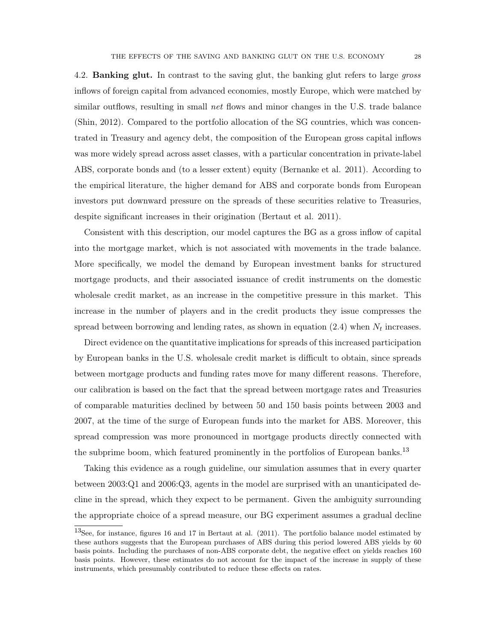4.2. Banking glut. In contrast to the saving glut, the banking glut refers to large *gross* inflows of foreign capital from advanced economies, mostly Europe, which were matched by similar outflows, resulting in small *net* flows and minor changes in the U.S. trade balance (Shin, 2012). Compared to the portfolio allocation of the SG countries, which was concentrated in Treasury and agency debt, the composition of the European gross capital inflows was more widely spread across asset classes, with a particular concentration in private-label ABS, corporate bonds and (to a lesser extent) equity (Bernanke et al. 2011). According to the empirical literature, the higher demand for ABS and corporate bonds from European investors put downward pressure on the spreads of these securities relative to Treasuries, despite significant increases in their origination (Bertaut et al. 2011).

Consistent with this description, our model captures the BG as a gross inflow of capital into the mortgage market, which is not associated with movements in the trade balance. More specifically, we model the demand by European investment banks for structured mortgage products, and their associated issuance of credit instruments on the domestic wholesale credit market, as an increase in the competitive pressure in this market. This increase in the number of players and in the credit products they issue compresses the spread between borrowing and lending rates, as shown in equation  $(2.4)$  when  $N_t$  increases.

Direct evidence on the quantitative implications for spreads of this increased participation by European banks in the U.S. wholesale credit market is difficult to obtain, since spreads between mortgage products and funding rates move for many different reasons. Therefore, our calibration is based on the fact that the spread between mortgage rates and Treasuries of comparable maturities declined by between 50 and 150 basis points between 2003 and 2007, at the time of the surge of European funds into the market for ABS. Moreover, this spread compression was more pronounced in mortgage products directly connected with the subprime boom, which featured prominently in the portfolios of European banks.<sup>13</sup>

Taking this evidence as a rough guideline, our simulation assumes that in every quarter between 2003:Q1 and 2006:Q3, agents in the model are surprised with an unanticipated decline in the spread, which they expect to be permanent. Given the ambiguity surrounding the appropriate choice of a spread measure, our BG experiment assumes a gradual decline

 $13$ See, for instance, figures 16 and 17 in Bertaut at al. (2011). The portfolio balance model estimated by these authors suggests that the European purchases of ABS during this period lowered ABS yields by 60 basis points. Including the purchases of non-ABS corporate debt, the negative effect on yields reaches 160 basis points. However, these estimates do not account for the impact of the increase in supply of these instruments, which presumably contributed to reduce these effects on rates.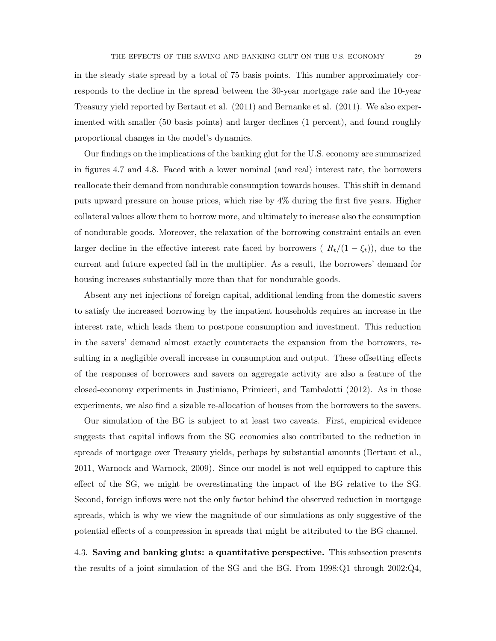in the steady state spread by a total of 75 basis points. This number approximately corresponds to the decline in the spread between the 30-year mortgage rate and the 10-year Treasury yield reported by Bertaut et al. (2011) and Bernanke et al. (2011). We also experimented with smaller (50 basis points) and larger declines (1 percent), and found roughly proportional changes in the model's dynamics.

Our findings on the implications of the banking glut for the U.S. economy are summarized in figures 4.7 and 4.8. Faced with a lower nominal (and real) interest rate, the borrowers reallocate their demand from nondurable consumption towards houses. This shift in demand puts upward pressure on house prices, which rise by 4% during the first five years. Higher collateral values allow them to borrow more, and ultimately to increase also the consumption of nondurable goods. Moreover, the relaxation of the borrowing constraint entails an even larger decline in the effective interest rate faced by borrowers ( $R_t/(1 - \xi_t)$ ), due to the current and future expected fall in the multiplier. As a result, the borrowers' demand for housing increases substantially more than that for nondurable goods.

Absent any net injections of foreign capital, additional lending from the domestic savers to satisfy the increased borrowing by the impatient households requires an increase in the interest rate, which leads them to postpone consumption and investment. This reduction in the savers' demand almost exactly counteracts the expansion from the borrowers, resulting in a negligible overall increase in consumption and output. These offsetting effects of the responses of borrowers and savers on aggregate activity are also a feature of the closed-economy experiments in Justiniano, Primiceri, and Tambalotti (2012). As in those experiments, we also find a sizable re-allocation of houses from the borrowers to the savers.

Our simulation of the BG is subject to at least two caveats. First, empirical evidence suggests that capital inflows from the SG economies also contributed to the reduction in spreads of mortgage over Treasury yields, perhaps by substantial amounts (Bertaut et al., 2011, Warnock and Warnock, 2009). Since our model is not well equipped to capture this effect of the SG, we might be overestimating the impact of the BG relative to the SG. Second, foreign inflows were not the only factor behind the observed reduction in mortgage spreads, which is why we view the magnitude of our simulations as only suggestive of the potential effects of a compression in spreads that might be attributed to the BG channel.

4.3. Saving and banking gluts: a quantitative perspective. This subsection presents the results of a joint simulation of the SG and the BG. From 1998:Q1 through 2002:Q4,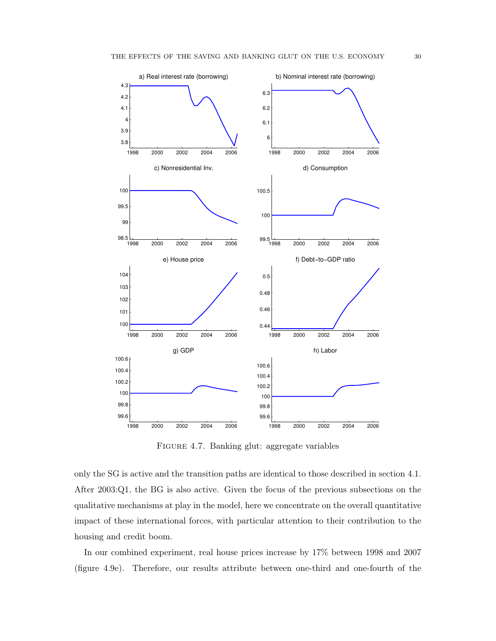

Figure 4.7. Banking glut: aggregate variables

only the SG is active and the transition paths are identical to those described in section 4.1. After 2003:Q1, the BG is also active. Given the focus of the previous subsections on the qualitative mechanisms at play in the model, here we concentrate on the overall quantitative impact of these international forces, with particular attention to their contribution to the housing and credit boom.

In our combined experiment, real house prices increase by 17% between 1998 and 2007 (figure 4.9e). Therefore, our results attribute between one-third and one-fourth of the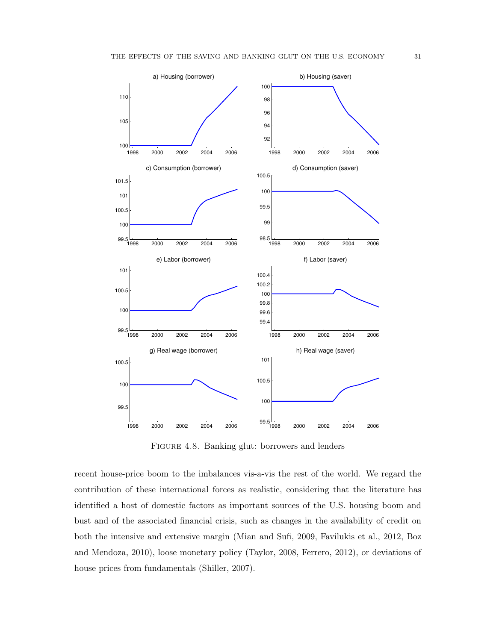

Figure 4.8. Banking glut: borrowers and lenders

recent house-price boom to the imbalances vis-a-vis the rest of the world. We regard the contribution of these international forces as realistic, considering that the literature has identified a host of domestic factors as important sources of the U.S. housing boom and bust and of the associated financial crisis, such as changes in the availability of credit on both the intensive and extensive margin (Mian and Sufi, 2009, Favilukis et al., 2012, Boz and Mendoza, 2010), loose monetary policy (Taylor, 2008, Ferrero, 2012), or deviations of house prices from fundamentals (Shiller, 2007).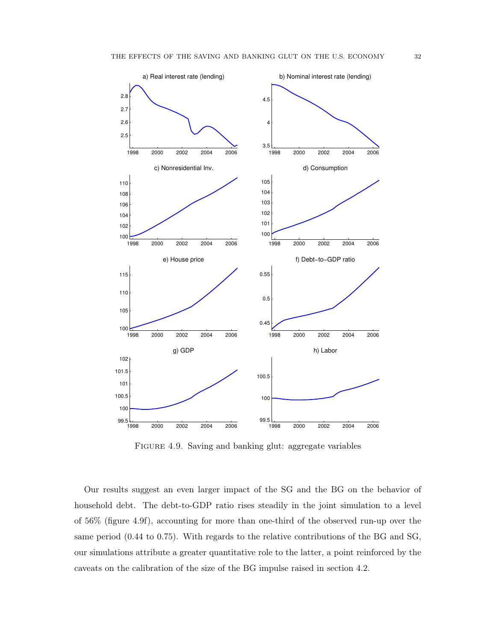

FIGURE 4.9. Saving and banking glut: aggregate variables

Our results suggest an even larger impact of the SG and the BG on the behavior of household debt. The debt-to-GDP ratio rises steadily in the joint simulation to a level of 56% (figure 4.9f), accounting for more than one-third of the observed run-up over the same period (0.44 to 0.75). With regards to the relative contributions of the BG and SG, our simulations attribute a greater quantitative role to the latter, a point reinforced by the caveats on the calibration of the size of the BG impulse raised in section 4.2.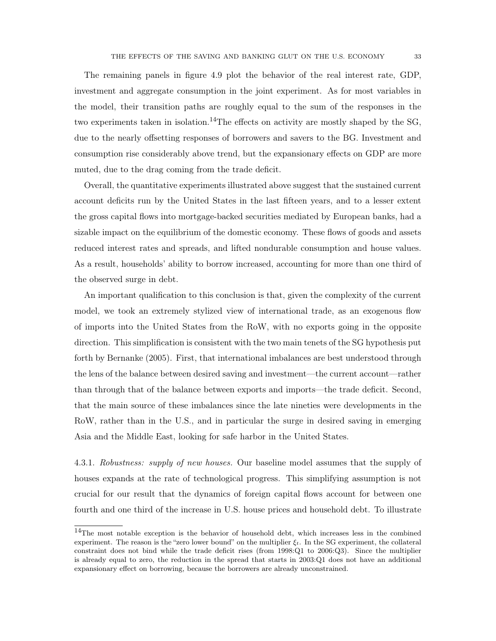The remaining panels in figure 4.9 plot the behavior of the real interest rate, GDP, investment and aggregate consumption in the joint experiment. As for most variables in the model, their transition paths are roughly equal to the sum of the responses in the two experiments taken in isolation.<sup>14</sup>The effects on activity are mostly shaped by the SG, due to the nearly offsetting responses of borrowers and savers to the BG. Investment and consumption rise considerably above trend, but the expansionary effects on GDP are more muted, due to the drag coming from the trade deficit.

Overall, the quantitative experiments illustrated above suggest that the sustained current account deficits run by the United States in the last fifteen years, and to a lesser extent the gross capital flows into mortgage-backed securities mediated by European banks, had a sizable impact on the equilibrium of the domestic economy. These flows of goods and assets reduced interest rates and spreads, and lifted nondurable consumption and house values. As a result, households' ability to borrow increased, accounting for more than one third of the observed surge in debt.

An important qualification to this conclusion is that, given the complexity of the current model, we took an extremely stylized view of international trade, as an exogenous flow of imports into the United States from the RoW, with no exports going in the opposite direction. This simplification is consistent with the two main tenets of the SG hypothesis put forth by Bernanke (2005). First, that international imbalances are best understood through the lens of the balance between desired saving and investment—the current account—rather than through that of the balance between exports and imports—the trade deficit. Second, that the main source of these imbalances since the late nineties were developments in the RoW, rather than in the U.S., and in particular the surge in desired saving in emerging Asia and the Middle East, looking for safe harbor in the United States.

4.3.1. *Robustness: supply of new houses.* Our baseline model assumes that the supply of houses expands at the rate of technological progress. This simplifying assumption is not crucial for our result that the dynamics of foreign capital flows account for between one fourth and one third of the increase in U.S. house prices and household debt. To illustrate

<sup>&</sup>lt;sup>14</sup>The most notable exception is the behavior of household debt, which increases less in the combined experiment. The reason is the "zero lower bound" on the multiplier  $\xi_t$ . In the SG experiment, the collateral constraint does not bind while the trade deficit rises (from 1998:Q1 to 2006:Q3). Since the multiplier is already equal to zero, the reduction in the spread that starts in 2003:Q1 does not have an additional expansionary effect on borrowing, because the borrowers are already unconstrained.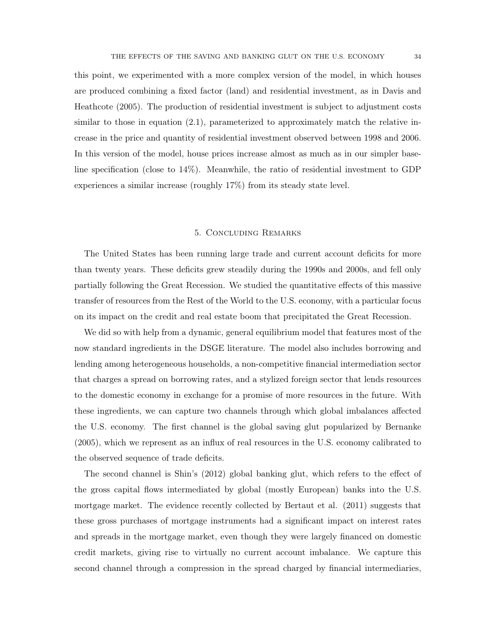this point, we experimented with a more complex version of the model, in which houses are produced combining a fixed factor (land) and residential investment, as in Davis and Heathcote (2005). The production of residential investment is subject to adjustment costs similar to those in equation (2.1), parameterized to approximately match the relative increase in the price and quantity of residential investment observed between 1998 and 2006. In this version of the model, house prices increase almost as much as in our simpler baseline specification (close to 14%). Meanwhile, the ratio of residential investment to GDP experiences a similar increase (roughly 17%) from its steady state level.

#### 5. Concluding Remarks

The United States has been running large trade and current account deficits for more than twenty years. These deficits grew steadily during the 1990s and 2000s, and fell only partially following the Great Recession. We studied the quantitative effects of this massive transfer of resources from the Rest of the World to the U.S. economy, with a particular focus on its impact on the credit and real estate boom that precipitated the Great Recession.

We did so with help from a dynamic, general equilibrium model that features most of the now standard ingredients in the DSGE literature. The model also includes borrowing and lending among heterogeneous households, a non-competitive financial intermediation sector that charges a spread on borrowing rates, and a stylized foreign sector that lends resources to the domestic economy in exchange for a promise of more resources in the future. With these ingredients, we can capture two channels through which global imbalances affected the U.S. economy. The first channel is the global saving glut popularized by Bernanke (2005), which we represent as an influx of real resources in the U.S. economy calibrated to the observed sequence of trade deficits.

The second channel is Shin's (2012) global banking glut, which refers to the effect of the gross capital flows intermediated by global (mostly European) banks into the U.S. mortgage market. The evidence recently collected by Bertaut et al. (2011) suggests that these gross purchases of mortgage instruments had a significant impact on interest rates and spreads in the mortgage market, even though they were largely financed on domestic credit markets, giving rise to virtually no current account imbalance. We capture this second channel through a compression in the spread charged by financial intermediaries,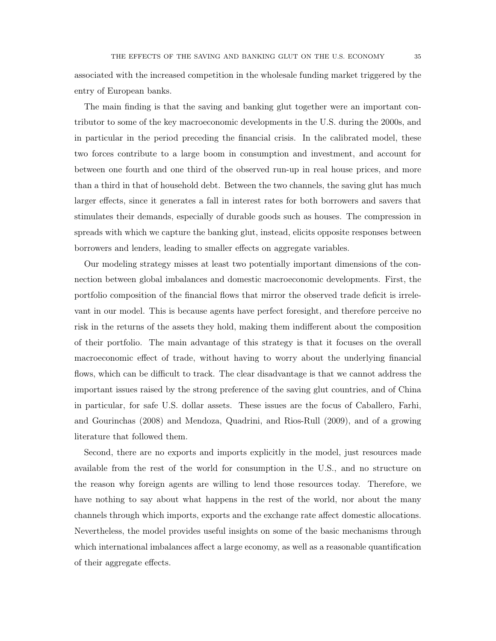associated with the increased competition in the wholesale funding market triggered by the entry of European banks.

The main finding is that the saving and banking glut together were an important contributor to some of the key macroeconomic developments in the U.S. during the 2000s, and in particular in the period preceding the financial crisis. In the calibrated model, these two forces contribute to a large boom in consumption and investment, and account for between one fourth and one third of the observed run-up in real house prices, and more than a third in that of household debt. Between the two channels, the saving glut has much larger effects, since it generates a fall in interest rates for both borrowers and savers that stimulates their demands, especially of durable goods such as houses. The compression in spreads with which we capture the banking glut, instead, elicits opposite responses between borrowers and lenders, leading to smaller effects on aggregate variables.

Our modeling strategy misses at least two potentially important dimensions of the connection between global imbalances and domestic macroeconomic developments. First, the portfolio composition of the financial flows that mirror the observed trade deficit is irrelevant in our model. This is because agents have perfect foresight, and therefore perceive no risk in the returns of the assets they hold, making them indifferent about the composition of their portfolio. The main advantage of this strategy is that it focuses on the overall macroeconomic effect of trade, without having to worry about the underlying financial flows, which can be difficult to track. The clear disadvantage is that we cannot address the important issues raised by the strong preference of the saving glut countries, and of China in particular, for safe U.S. dollar assets. These issues are the focus of Caballero, Farhi, and Gourinchas (2008) and Mendoza, Quadrini, and Rios-Rull (2009), and of a growing literature that followed them.

Second, there are no exports and imports explicitly in the model, just resources made available from the rest of the world for consumption in the U.S., and no structure on the reason why foreign agents are willing to lend those resources today. Therefore, we have nothing to say about what happens in the rest of the world, nor about the many channels through which imports, exports and the exchange rate affect domestic allocations. Nevertheless, the model provides useful insights on some of the basic mechanisms through which international imbalances affect a large economy, as well as a reasonable quantification of their aggregate effects.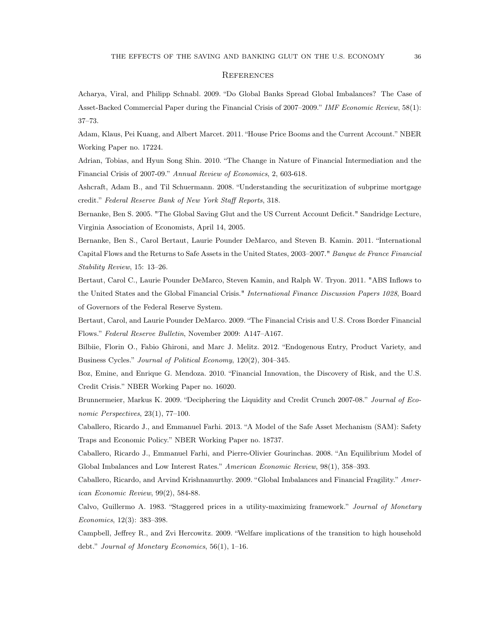#### **REFERENCES**

Acharya, Viral, and Philipp Schnabl. 2009. "Do Global Banks Spread Global Imbalances? The Case of Asset-Backed Commercial Paper during the Financial Crisis of 2007–2009." IMF Economic Review, 58(1): 37–73.

Adam, Klaus, Pei Kuang, and Albert Marcet. 2011. "House Price Booms and the Current Account." NBER Working Paper no. 17224.

Adrian, Tobias, and Hyun Song Shin. 2010. "The Change in Nature of Financial Intermediation and the Financial Crisis of 2007-09." Annual Review of Economics, 2, 603-618.

Ashcraft, Adam B., and Til Schuermann. 2008. "Understanding the securitization of subprime mortgage credit." Federal Reserve Bank of New York Staff Reports, 318.

Bernanke, Ben S. 2005. "The Global Saving Glut and the US Current Account Deficit." Sandridge Lecture, Virginia Association of Economists, April 14, 2005.

Bernanke, Ben S., Carol Bertaut, Laurie Pounder DeMarco, and Steven B. Kamin. 2011. "International Capital Flows and the Returns to Safe Assets in the United States, 2003–2007." Banque de France Financial Stability Review, 15: 13–26.

Bertaut, Carol C., Laurie Pounder DeMarco, Steven Kamin, and Ralph W. Tryon. 2011. "ABS Inflows to the United States and the Global Financial Crisis." International Finance Discussion Papers 1028, Board of Governors of the Federal Reserve System.

Bertaut, Carol, and Laurie Pounder DeMarco. 2009. "The Financial Crisis and U.S. Cross Border Financial Flows." Federal Reserve Bulletin, November 2009: A147–A167.

Bilbiie, Florin O., Fabio Ghironi, and Marc J. Melitz. 2012. "Endogenous Entry, Product Variety, and Business Cycles." Journal of Political Economy, 120(2), 304–345.

Boz, Emine, and Enrique G. Mendoza. 2010. "Financial Innovation, the Discovery of Risk, and the U.S. Credit Crisis." NBER Working Paper no. 16020.

Brunnermeier, Markus K. 2009. "Deciphering the Liquidity and Credit Crunch 2007-08." Journal of Economic Perspectives, 23(1), 77–100.

Caballero, Ricardo J., and Emmanuel Farhi. 2013. "A Model of the Safe Asset Mechanism (SAM): Safety Traps and Economic Policy." NBER Working Paper no. 18737.

Caballero, Ricardo J., Emmanuel Farhi, and Pierre-Olivier Gourinchas. 2008. "An Equilibrium Model of Global Imbalances and Low Interest Rates." American Economic Review, 98(1), 358–393.

Caballero, Ricardo, and Arvind Krishnamurthy. 2009. "Global Imbalances and Financial Fragility." American Economic Review, 99(2), 584-88.

Calvo, Guillermo A. 1983. "Staggered prices in a utility-maximizing framework." Journal of Monetary Economics, 12(3): 383–398.

Campbell, Jeffrey R., and Zvi Hercowitz. 2009. "Welfare implications of the transition to high household debt." Journal of Monetary Economics, 56(1), 1–16.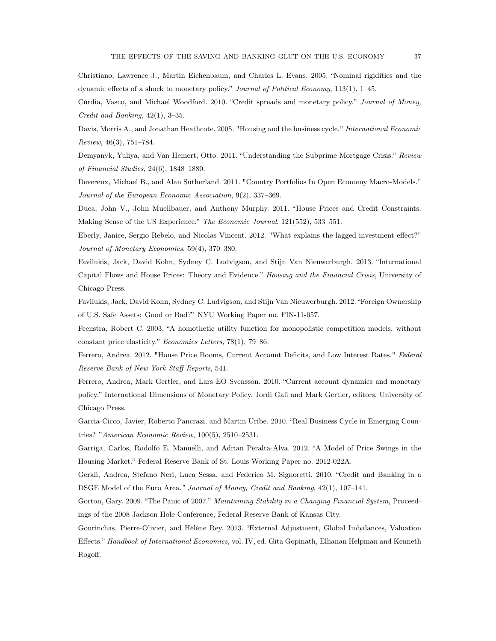Christiano, Lawrence J., Martin Eichenbaum, and Charles L. Evans. 2005. "Nominal rigidities and the dynamic effects of a shock to monetary policy." Journal of Political Economy, 113(1), 1–45.

Cúrdia, Vasco, and Michael Woodford. 2010. "Credit spreads and monetary policy." Journal of Money, Credit and Banking, 42(1), 3–35.

Davis, Morris A., and Jonathan Heathcote. 2005. "Housing and the business cycle." International Economic Review, 46(3), 751–784.

Demyanyk, Yuliya, and Van Hemert, Otto. 2011. "Understanding the Subprime Mortgage Crisis." Review of Financial Studies, 24(6), 1848–1880.

Devereux, Michael B., and Alan Sutherland. 2011. "Country Portfolios In Open Economy Macro-Models." Journal of the European Economic Association, 9(2), 337–369.

Duca, John V., John Muellbauer, and Anthony Murphy. 2011. "House Prices and Credit Constraints: Making Sense of the US Experience." The Economic Journal, 121(552), 533–551.

Eberly, Janice, Sergio Rebelo, and Nicolas Vincent. 2012. "What explains the lagged investment effect?" Journal of Monetary Economics, 59(4), 370–380.

Favilukis, Jack, David Kohn, Sydney C. Ludvigson, and Stijn Van Nieuwerburgh. 2013. "International Capital Flows and House Prices: Theory and Evidence." Housing and the Financial Crisis, University of Chicago Press.

Favilukis, Jack, David Kohn, Sydney C. Ludvigson, and Stijn Van Nieuwerburgh. 2012. "Foreign Ownership of U.S. Safe Assets: Good or Bad?" NYU Working Paper no. FIN-11-057.

Feenstra, Robert C. 2003. "A homothetic utility function for monopolistic competition models, without constant price elasticity." Economics Letters, 78(1), 79–86.

Ferrero, Andrea. 2012. "House Price Booms, Current Account Deficits, and Low Interest Rates." Federal Reserve Bank of New York Staff Reports, 541.

Ferrero, Andrea, Mark Gertler, and Lars EO Svensson. 2010. "Current account dynamics and monetary policy." International Dimensions of Monetary Policy, Jordi Gali and Mark Gertler, editors. University of Chicago Press.

Garcia-Cicco, Javier, Roberto Pancrazi, and Martin Uribe. 2010. "Real Business Cycle in Emerging Countries? "American Economic Review, 100(5), 2510–2531.

Garriga, Carlos, Rodolfo E. Manuelli, and Adrian Peralta-Alva. 2012. "A Model of Price Swings in the Housing Market." Federal Reserve Bank of St. Louis Working Paper no. 2012-022A.

Gerali, Andrea, Stefano Neri, Luca Sessa, and Federico M. Signoretti. 2010. "Credit and Banking in a DSGE Model of the Euro Area." Journal of Money, Credit and Banking, 42(1), 107–141.

Gorton, Gary. 2009. "The Panic of 2007." Maintaining Stability in a Changing Financial System, Proceedings of the 2008 Jackson Hole Conference, Federal Reserve Bank of Kansas City.

Gourinchas, Pierre-Olivier, and Hélène Rey. 2013. "External Adjustment, Global Imbalances, Valuation Effects." Handbook of International Economics, vol. IV, ed. Gita Gopinath, Elhanan Helpman and Kenneth Rogoff.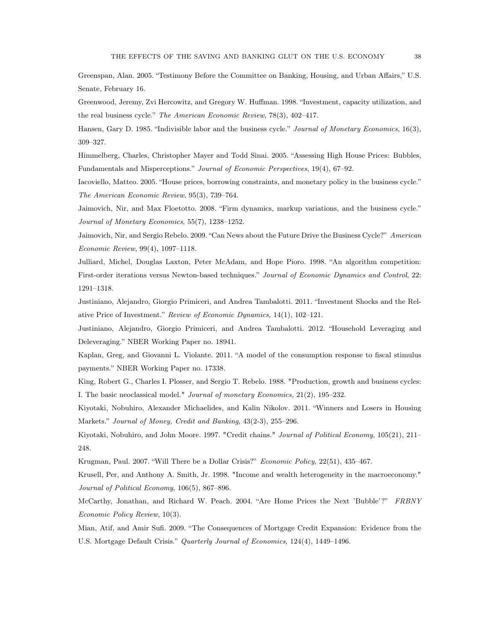Greenspan, Alan. 2005. "Testimony Before the Committee on Banking, Housing, and Urban Affairs," U.S. Senate, February 16.

Greenwood, Jeremy, Zvi Hercowitz, and Gregory W. Huffman. 1998. "Investment, capacity utilization, and the real business cycle." The American Economic Review, 78(3), 402–417.

Hansen, Gary D. 1985. "Indivisible labor and the business cycle." Journal of Monetary Economics, 16(3), 309–327.

Himmelberg, Charles, Christopher Mayer and Todd Sinai. 2005. "Assessing High House Prices: Bubbles, Fundamentals and Misperceptions." Journal of Economic Perspectives, 19(4), 67–92.

Iacoviello, Matteo. 2005. "House prices, borrowing constraints, and monetary policy in the business cycle." The American Economic Review, 95(3), 739–764.

Jaimovich, Nir, and Max Floetotto. 2008. "Firm dynamics, markup variations, and the business cycle." Journal of Monetary Economics, 55(7), 1238–1252.

Jaimovich, Nir, and Sergio Rebelo. 2009. "Can News about the Future Drive the Business Cycle?" American Economic Review, 99(4), 1097–1118.

Julliard, Michel, Douglas Laxton, Peter McAdam, and Hope Pioro. 1998. "An algorithm competition: First-order iterations versus Newton-based techniques." Journal of Economic Dynamics and Control, 22: 1291–1318.

Justiniano, Alejandro, Giorgio Primiceri, and Andrea Tambalotti. 2011. "Investment Shocks and the Relative Price of Investment." Review of Economic Dynamics, 14(1), 102–121.

Justiniano, Alejandro, Giorgio Primiceri, and Andrea Tambalotti. 2012. "Household Leveraging and Deleveraging." NBER Working Paper no. 18941.

Kaplan, Greg, and Giovanni L. Violante. 2011. "A model of the consumption response to fiscal stimulus payments." NBER Working Paper no. 17338.

King, Robert G., Charles I. Plosser, and Sergio T. Rebelo. 1988. "Production, growth and business cycles: I. The basic neoclassical model." Journal of monetary Economics, 21(2), 195–232.

Kiyotaki, Nobuhiro, Alexander Michaelides, and Kalin Nikolov. 2011. "Winners and Losers in Housing Markets." Journal of Money, Credit and Banking, 43(2-3), 255–296.

Kiyotaki, Nobuhiro, and John Moore. 1997. "Credit chains." Journal of Political Economy, 105(21), 211– 248.

Krugman, Paul. 2007. "Will There be a Dollar Crisis?" Economic Policy, 22(51), 435–467.

Krusell, Per, and Anthony A. Smith, Jr. 1998. "Income and wealth heterogeneity in the macroeconomy." Journal of Political Economy, 106(5), 867–896.

McCarthy, Jonathan, and Richard W. Peach. 2004. "Are Home Prices the Next 'Bubble'?" FRBNY Economic Policy Review, 10(3).

Mian, Atif, and Amir Sufi. 2009. "The Consequences of Mortgage Credit Expansion: Evidence from the U.S. Mortgage Default Crisis." Quarterly Journal of Economics, 124(4), 1449–1496.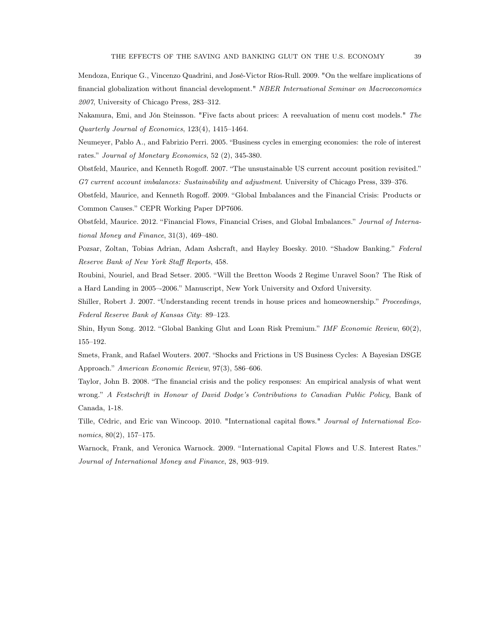Mendoza, Enrique G., Vincenzo Quadrini, and José-Victor Ríos-Rull. 2009. "On the welfare implications of financial globalization without financial development." NBER International Seminar on Macroeconomics 2007, University of Chicago Press, 283–312.

Nakamura, Emi, and Jón Steinsson. "Five facts about prices: A reevaluation of menu cost models." The Quarterly Journal of Economics, 123(4), 1415–1464.

Neumeyer, Pablo A., and Fabrizio Perri. 2005. "Business cycles in emerging economies: the role of interest rates." Journal of Monetary Economics, 52 (2), 345-380.

Obstfeld, Maurice, and Kenneth Rogoff. 2007. "The unsustainable US current account position revisited." G7 current account imbalances: Sustainability and adjustment. University of Chicago Press, 339–376.

Obstfeld, Maurice, and Kenneth Rogoff. 2009. "Global Imbalances and the Financial Crisis: Products or Common Causes." CEPR Working Paper DP7606.

Obstfeld, Maurice. 2012. "Financial Flows, Financial Crises, and Global Imbalances." Journal of International Money and Finance, 31(3), 469–480.

Pozsar, Zoltan, Tobias Adrian, Adam Ashcraft, and Hayley Boesky. 2010. "Shadow Banking." Federal Reserve Bank of New York Staff Reports, 458.

Roubini, Nouriel, and Brad Setser. 2005. "Will the Bretton Woods 2 Regime Unravel Soon? The Risk of a Hard Landing in 2005–-2006." Manuscript, New York University and Oxford University.

Shiller, Robert J. 2007. "Understanding recent trends in house prices and homeownership." Proceedings, Federal Reserve Bank of Kansas City: 89–123.

Shin, Hyun Song. 2012. "Global Banking Glut and Loan Risk Premium." IMF Economic Review, 60(2), 155–192.

Smets, Frank, and Rafael Wouters. 2007. "Shocks and Frictions in US Business Cycles: A Bayesian DSGE Approach." American Economic Review, 97(3), 586–606.

Taylor, John B. 2008. "The financial crisis and the policy responses: An empirical analysis of what went wrong." A Festschrift in Honour of David Dodge's Contributions to Canadian Public Policy, Bank of Canada, 1-18.

Tille, Cédric, and Eric van Wincoop. 2010. "International capital flows." Journal of International Economics, 80(2), 157–175.

Warnock, Frank, and Veronica Warnock. 2009. "International Capital Flows and U.S. Interest Rates." Journal of International Money and Finance, 28, 903–919.